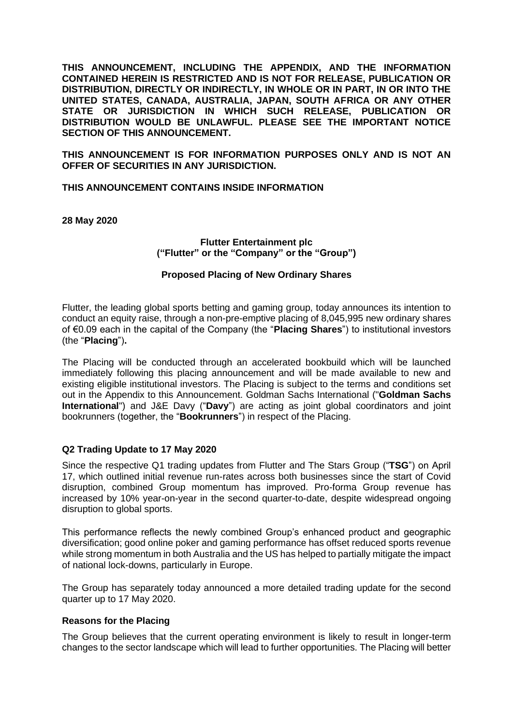**THIS ANNOUNCEMENT, INCLUDING THE APPENDIX, AND THE INFORMATION CONTAINED HEREIN IS RESTRICTED AND IS NOT FOR RELEASE, PUBLICATION OR DISTRIBUTION, DIRECTLY OR INDIRECTLY, IN WHOLE OR IN PART, IN OR INTO THE UNITED STATES, CANADA, AUSTRALIA, JAPAN, SOUTH AFRICA OR ANY OTHER STATE OR JURISDICTION IN WHICH SUCH RELEASE, PUBLICATION OR DISTRIBUTION WOULD BE UNLAWFUL. PLEASE SEE THE IMPORTANT NOTICE SECTION OF THIS ANNOUNCEMENT.**

**THIS ANNOUNCEMENT IS FOR INFORMATION PURPOSES ONLY AND IS NOT AN OFFER OF SECURITIES IN ANY JURISDICTION.**

**THIS ANNOUNCEMENT CONTAINS INSIDE INFORMATION**

**28 May 2020**

**Flutter Entertainment plc ("Flutter" or the "Company" or the "Group")**

#### **Proposed Placing of New Ordinary Shares**

Flutter, the leading global sports betting and gaming group, today announces its intention to conduct an equity raise, through a non-pre-emptive placing of 8,045,995 new ordinary shares of €0.09 each in the capital of the Company (the "**Placing Shares**") to institutional investors (the "**Placing**")**.**

The Placing will be conducted through an accelerated bookbuild which will be launched immediately following this placing announcement and will be made available to new and existing eligible institutional investors. The Placing is subject to the terms and conditions set out in the Appendix to this Announcement. Goldman Sachs International ("**Goldman Sachs International**") and J&E Davy ("**Davy**") are acting as joint global coordinators and joint bookrunners (together, the "**Bookrunners**") in respect of the Placing.

## **Q2 Trading Update to 17 May 2020**

Since the respective Q1 trading updates from Flutter and The Stars Group ("**TSG**") on April 17, which outlined initial revenue run-rates across both businesses since the start of Covid disruption, combined Group momentum has improved. Pro-forma Group revenue has increased by 10% year-on-year in the second quarter-to-date, despite widespread ongoing disruption to global sports.

This performance reflects the newly combined Group's enhanced product and geographic diversification; good online poker and gaming performance has offset reduced sports revenue while strong momentum in both Australia and the US has helped to partially mitigate the impact of national lock-downs, particularly in Europe.

The Group has separately today announced a more detailed trading update for the second quarter up to 17 May 2020.

#### **Reasons for the Placing**

The Group believes that the current operating environment is likely to result in longer-term changes to the sector landscape which will lead to further opportunities. The Placing will better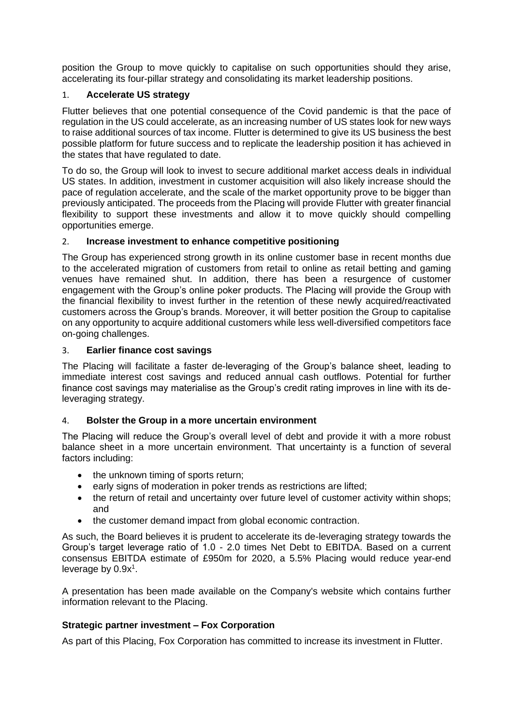position the Group to move quickly to capitalise on such opportunities should they arise, accelerating its four-pillar strategy and consolidating its market leadership positions.

# 1. **Accelerate US strategy**

Flutter believes that one potential consequence of the Covid pandemic is that the pace of regulation in the US could accelerate, as an increasing number of US states look for new ways to raise additional sources of tax income. Flutter is determined to give its US business the best possible platform for future success and to replicate the leadership position it has achieved in the states that have regulated to date.

To do so, the Group will look to invest to secure additional market access deals in individual US states. In addition, investment in customer acquisition will also likely increase should the pace of regulation accelerate, and the scale of the market opportunity prove to be bigger than previously anticipated. The proceeds from the Placing will provide Flutter with greater financial flexibility to support these investments and allow it to move quickly should compelling opportunities emerge.

# 2. **Increase investment to enhance competitive positioning**

The Group has experienced strong growth in its online customer base in recent months due to the accelerated migration of customers from retail to online as retail betting and gaming venues have remained shut. In addition, there has been a resurgence of customer engagement with the Group's online poker products. The Placing will provide the Group with the financial flexibility to invest further in the retention of these newly acquired/reactivated customers across the Group's brands. Moreover, it will better position the Group to capitalise on any opportunity to acquire additional customers while less well-diversified competitors face on-going challenges.

## 3. **Earlier finance cost savings**

The Placing will facilitate a faster de-leveraging of the Group's balance sheet, leading to immediate interest cost savings and reduced annual cash outflows. Potential for further finance cost savings may materialise as the Group's credit rating improves in line with its deleveraging strategy.

# 4. **Bolster the Group in a more uncertain environment**

The Placing will reduce the Group's overall level of debt and provide it with a more robust balance sheet in a more uncertain environment. That uncertainty is a function of several factors including:

- the unknown timing of sports return;
- early signs of moderation in poker trends as restrictions are lifted:
- the return of retail and uncertainty over future level of customer activity within shops; and
- the customer demand impact from global economic contraction.

As such, the Board believes it is prudent to accelerate its de-leveraging strategy towards the Group's target leverage ratio of 1.0 - 2.0 times Net Debt to EBITDA. Based on a current consensus EBITDA estimate of £950m for 2020, a 5.5% Placing would reduce year-end leverage by  $0.9x<sup>1</sup>$ .

A presentation has been made available on the Company's website which contains further information relevant to the Placing.

# **Strategic partner investment – Fox Corporation**

As part of this Placing, Fox Corporation has committed to increase its investment in Flutter.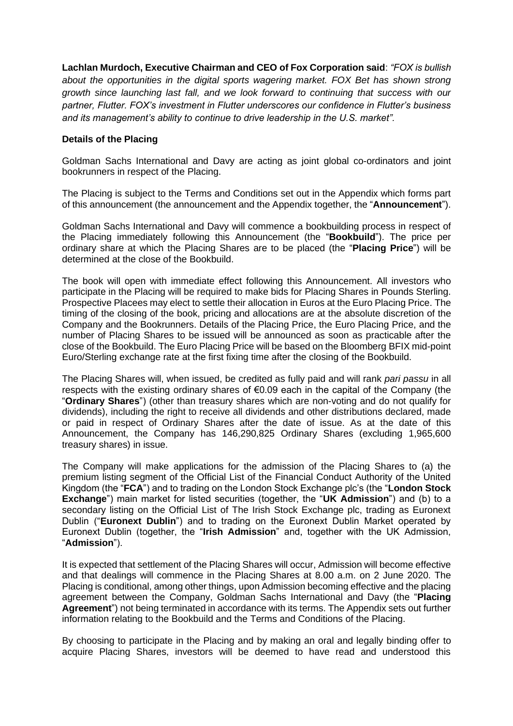**Lachlan Murdoch, Executive Chairman and CEO of Fox Corporation said**: *"FOX is bullish about the opportunities in the digital sports wagering market. FOX Bet has shown strong growth since launching last fall, and we look forward to continuing that success with our partner, Flutter. FOX's investment in Flutter underscores our confidence in Flutter's business and its management's ability to continue to drive leadership in the U.S. market".*

## **Details of the Placing**

Goldman Sachs International and Davy are acting as joint global co-ordinators and joint bookrunners in respect of the Placing.

The Placing is subject to the Terms and Conditions set out in the Appendix which forms part of this announcement (the announcement and the Appendix together, the "**Announcement**").

Goldman Sachs International and Davy will commence a bookbuilding process in respect of the Placing immediately following this Announcement (the "**Bookbuild**"). The price per ordinary share at which the Placing Shares are to be placed (the "**Placing Price**") will be determined at the close of the Bookbuild.

The book will open with immediate effect following this Announcement. All investors who participate in the Placing will be required to make bids for Placing Shares in Pounds Sterling. Prospective Placees may elect to settle their allocation in Euros at the Euro Placing Price. The timing of the closing of the book, pricing and allocations are at the absolute discretion of the Company and the Bookrunners. Details of the Placing Price, the Euro Placing Price, and the number of Placing Shares to be issued will be announced as soon as practicable after the close of the Bookbuild. The Euro Placing Price will be based on the Bloomberg BFIX mid-point Euro/Sterling exchange rate at the first fixing time after the closing of the Bookbuild.

The Placing Shares will, when issued, be credited as fully paid and will rank *pari passu* in all respects with the existing ordinary shares of  $\epsilon$ 0.09 each in the capital of the Company (the "**Ordinary Shares**") (other than treasury shares which are non-voting and do not qualify for dividends), including the right to receive all dividends and other distributions declared, made or paid in respect of Ordinary Shares after the date of issue. As at the date of this Announcement, the Company has 146,290,825 Ordinary Shares (excluding 1,965,600 treasury shares) in issue.

The Company will make applications for the admission of the Placing Shares to (a) the premium listing segment of the Official List of the Financial Conduct Authority of the United Kingdom (the "**FCA**") and to trading on the London Stock Exchange plc's (the "**London Stock Exchange**") main market for listed securities (together, the "**UK Admission**") and (b) to a secondary listing on the Official List of The Irish Stock Exchange plc, trading as Euronext Dublin ("**Euronext Dublin**") and to trading on the Euronext Dublin Market operated by Euronext Dublin (together, the "**Irish Admission**" and, together with the UK Admission, "**Admission**").

It is expected that settlement of the Placing Shares will occur, Admission will become effective and that dealings will commence in the Placing Shares at 8.00 a.m. on 2 June 2020. The Placing is conditional, among other things, upon Admission becoming effective and the placing agreement between the Company, Goldman Sachs International and Davy (the "**Placing Agreement**") not being terminated in accordance with its terms. The Appendix sets out further information relating to the Bookbuild and the Terms and Conditions of the Placing.

By choosing to participate in the Placing and by making an oral and legally binding offer to acquire Placing Shares, investors will be deemed to have read and understood this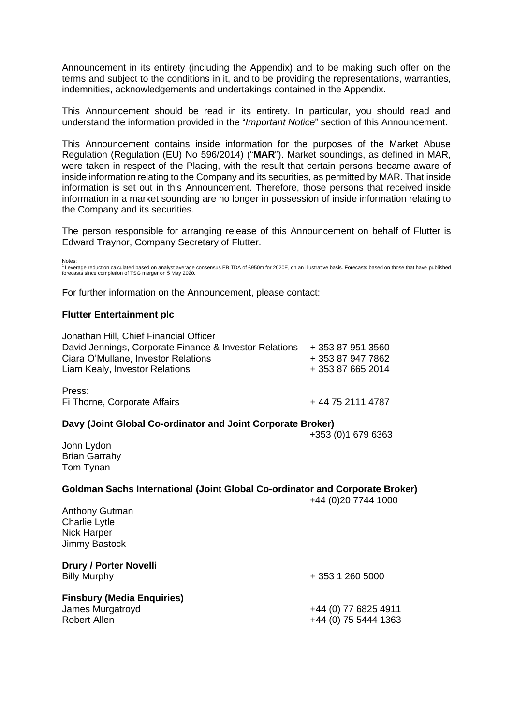Announcement in its entirety (including the Appendix) and to be making such offer on the terms and subject to the conditions in it, and to be providing the representations, warranties, indemnities, acknowledgements and undertakings contained in the Appendix.

This Announcement should be read in its entirety. In particular, you should read and understand the information provided in the "*Important Notice*" section of this Announcement.

This Announcement contains inside information for the purposes of the Market Abuse Regulation (Regulation (EU) No 596/2014) ("**MAR**"). Market soundings, as defined in MAR, were taken in respect of the Placing, with the result that certain persons became aware of inside information relating to the Company and its securities, as permitted by MAR. That inside information is set out in this Announcement. Therefore, those persons that received inside information in a market sounding are no longer in possession of inside information relating to the Company and its securities.

The person responsible for arranging release of this Announcement on behalf of Flutter is Edward Traynor, Company Secretary of Flutter.

Notes:<br><sup>1</sup> Leverage reduction calculated based on analyst average consensus EBITDA of £950m for 2020E, on an illustrative basis. Forecasts based on those that have published<br>forecasts since completion of TSG merger on 5 Ma

For further information on the Announcement, please contact:

#### **Flutter Entertainment plc**

| Jonathan Hill, Chief Financial Officer<br>David Jennings, Corporate Finance & Investor Relations<br>Ciara O'Mullane, Investor Relations<br>Liam Kealy, Investor Relations | + 353 87 951 3560<br>+ 353 87 947 7862<br>+ 353 87 665 2014 |
|---------------------------------------------------------------------------------------------------------------------------------------------------------------------------|-------------------------------------------------------------|
| Press:<br>Fi Thorne, Corporate Affairs                                                                                                                                    | +44 75 2111 4787                                            |
| Davy (Joint Global Co-ordinator and Joint Corporate Broker)                                                                                                               |                                                             |
|                                                                                                                                                                           | +353 (0)1 679 6363                                          |
| John Lydon<br><b>Brian Garrahy</b><br>Tom Tynan                                                                                                                           |                                                             |
| Goldman Sachs International (Joint Global Co-ordinator and Corporate Broker)                                                                                              |                                                             |
| <b>Anthony Gutman</b><br><b>Charlie Lytle</b><br><b>Nick Harper</b><br>Jimmy Bastock                                                                                      | +44 (0)20 7744 1000                                         |
| <b>Drury / Porter Novelli</b><br><b>Billy Murphy</b>                                                                                                                      | + 353 1 260 5000                                            |
| <b>Finsbury (Media Enquiries)</b><br>James Murgatroyd<br><b>Robert Allen</b>                                                                                              | +44 (0) 77 6825 4911<br>+44 (0) 75 5444 1363                |
|                                                                                                                                                                           |                                                             |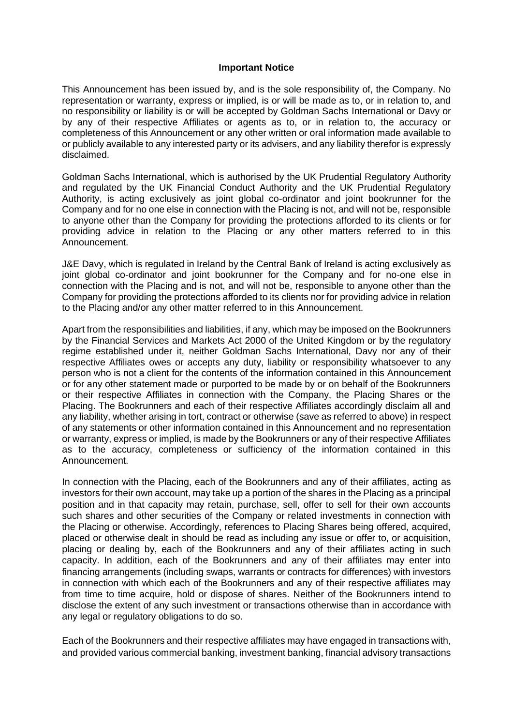#### **Important Notice**

This Announcement has been issued by, and is the sole responsibility of, the Company. No representation or warranty, express or implied, is or will be made as to, or in relation to, and no responsibility or liability is or will be accepted by Goldman Sachs International or Davy or by any of their respective Affiliates or agents as to, or in relation to, the accuracy or completeness of this Announcement or any other written or oral information made available to or publicly available to any interested party or its advisers, and any liability therefor is expressly disclaimed.

Goldman Sachs International, which is authorised by the UK Prudential Regulatory Authority and regulated by the UK Financial Conduct Authority and the UK Prudential Regulatory Authority, is acting exclusively as joint global co-ordinator and joint bookrunner for the Company and for no one else in connection with the Placing is not, and will not be, responsible to anyone other than the Company for providing the protections afforded to its clients or for providing advice in relation to the Placing or any other matters referred to in this Announcement.

J&E Davy, which is regulated in Ireland by the Central Bank of Ireland is acting exclusively as joint global co-ordinator and joint bookrunner for the Company and for no-one else in connection with the Placing and is not, and will not be, responsible to anyone other than the Company for providing the protections afforded to its clients nor for providing advice in relation to the Placing and/or any other matter referred to in this Announcement.

Apart from the responsibilities and liabilities, if any, which may be imposed on the Bookrunners by the Financial Services and Markets Act 2000 of the United Kingdom or by the regulatory regime established under it, neither Goldman Sachs International, Davy nor any of their respective Affiliates owes or accepts any duty, liability or responsibility whatsoever to any person who is not a client for the contents of the information contained in this Announcement or for any other statement made or purported to be made by or on behalf of the Bookrunners or their respective Affiliates in connection with the Company, the Placing Shares or the Placing. The Bookrunners and each of their respective Affiliates accordingly disclaim all and any liability, whether arising in tort, contract or otherwise (save as referred to above) in respect of any statements or other information contained in this Announcement and no representation or warranty, express or implied, is made by the Bookrunners or any of their respective Affiliates as to the accuracy, completeness or sufficiency of the information contained in this Announcement.

In connection with the Placing, each of the Bookrunners and any of their affiliates, acting as investors for their own account, may take up a portion of the shares in the Placing as a principal position and in that capacity may retain, purchase, sell, offer to sell for their own accounts such shares and other securities of the Company or related investments in connection with the Placing or otherwise. Accordingly, references to Placing Shares being offered, acquired, placed or otherwise dealt in should be read as including any issue or offer to, or acquisition, placing or dealing by, each of the Bookrunners and any of their affiliates acting in such capacity. In addition, each of the Bookrunners and any of their affiliates may enter into financing arrangements (including swaps, warrants or contracts for differences) with investors in connection with which each of the Bookrunners and any of their respective affiliates may from time to time acquire, hold or dispose of shares. Neither of the Bookrunners intend to disclose the extent of any such investment or transactions otherwise than in accordance with any legal or regulatory obligations to do so.

Each of the Bookrunners and their respective affiliates may have engaged in transactions with, and provided various commercial banking, investment banking, financial advisory transactions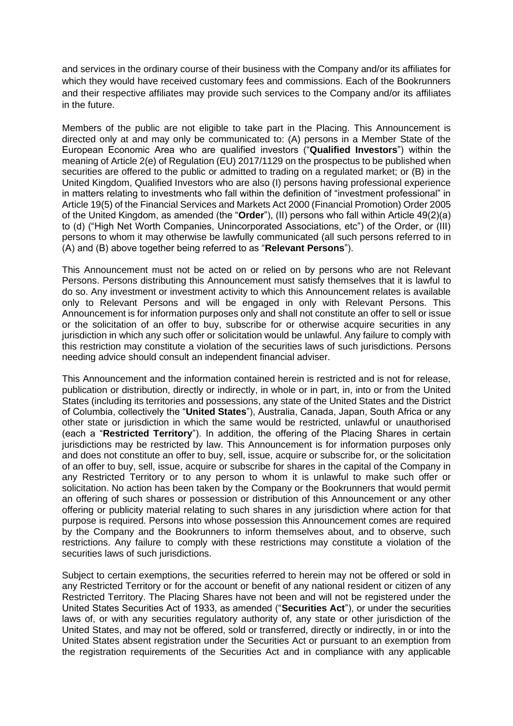and services in the ordinary course of their business with the Company and/or its affiliates for which they would have received customary fees and commissions. Each of the Bookrunners and their respective affiliates may provide such services to the Company and/or its affiliates in the future.

Members of the public are not eligible to take part in the Placing. This Announcement is directed only at and may only be communicated to: (A) persons in a Member State of the European Economic Area who are qualified investors ("**Qualified Investors**") within the meaning of Article 2(e) of Regulation (EU) 2017/1129 on the prospectus to be published when securities are offered to the public or admitted to trading on a regulated market; or (B) in the United Kingdom, Qualified Investors who are also (I) persons having professional experience in matters relating to investments who fall within the definition of "investment professional" in Article 19(5) of the Financial Services and Markets Act 2000 (Financial Promotion) Order 2005 of the United Kingdom, as amended (the "**Order**"), (II) persons who fall within Article 49(2)(a) to (d) ("High Net Worth Companies, Unincorporated Associations, etc") of the Order, or (III) persons to whom it may otherwise be lawfully communicated (all such persons referred to in (A) and (B) above together being referred to as "**Relevant Persons**").

This Announcement must not be acted on or relied on by persons who are not Relevant Persons. Persons distributing this Announcement must satisfy themselves that it is lawful to do so. Any investment or investment activity to which this Announcement relates is available only to Relevant Persons and will be engaged in only with Relevant Persons. This Announcement is for information purposes only and shall not constitute an offer to sell or issue or the solicitation of an offer to buy, subscribe for or otherwise acquire securities in any jurisdiction in which any such offer or solicitation would be unlawful. Any failure to comply with this restriction may constitute a violation of the securities laws of such jurisdictions. Persons needing advice should consult an independent financial adviser.

This Announcement and the information contained herein is restricted and is not for release, publication or distribution, directly or indirectly, in whole or in part, in, into or from the United States (including its territories and possessions, any state of the United States and the District of Columbia, collectively the "**United States**"), Australia, Canada, Japan, South Africa or any other state or jurisdiction in which the same would be restricted, unlawful or unauthorised (each a "**Restricted Territory**"). In addition, the offering of the Placing Shares in certain jurisdictions may be restricted by law. This Announcement is for information purposes only and does not constitute an offer to buy, sell, issue, acquire or subscribe for, or the solicitation of an offer to buy, sell, issue, acquire or subscribe for shares in the capital of the Company in any Restricted Territory or to any person to whom it is unlawful to make such offer or solicitation. No action has been taken by the Company or the Bookrunners that would permit an offering of such shares or possession or distribution of this Announcement or any other offering or publicity material relating to such shares in any jurisdiction where action for that purpose is required. Persons into whose possession this Announcement comes are required by the Company and the Bookrunners to inform themselves about, and to observe, such restrictions. Any failure to comply with these restrictions may constitute a violation of the securities laws of such jurisdictions.

Subject to certain exemptions, the securities referred to herein may not be offered or sold in any Restricted Territory or for the account or benefit of any national resident or citizen of any Restricted Territory. The Placing Shares have not been and will not be registered under the United States Securities Act of 1933, as amended ("**Securities Act**"), or under the securities laws of, or with any securities regulatory authority of, any state or other jurisdiction of the United States, and may not be offered, sold or transferred, directly or indirectly, in or into the United States absent registration under the Securities Act or pursuant to an exemption from the registration requirements of the Securities Act and in compliance with any applicable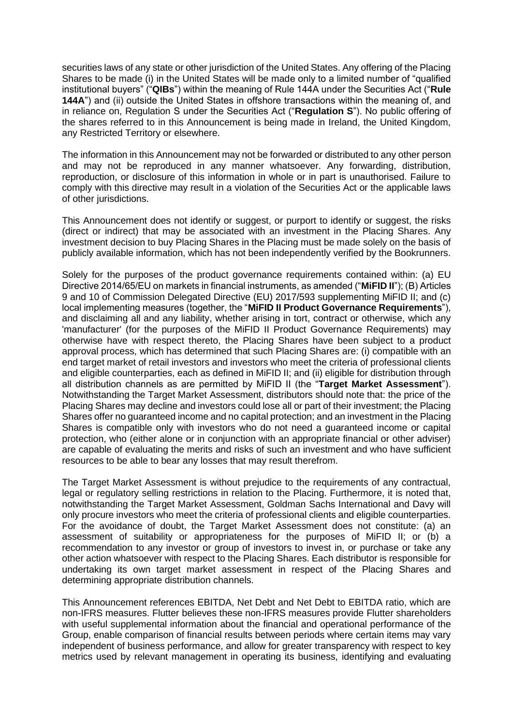securities laws of any state or other jurisdiction of the United States. Any offering of the Placing Shares to be made (i) in the United States will be made only to a limited number of "qualified institutional buyers" ("**QIBs**") within the meaning of Rule 144A under the Securities Act ("**Rule 144A**") and (ii) outside the United States in offshore transactions within the meaning of, and in reliance on, Regulation S under the Securities Act ("**Regulation S**"). No public offering of the shares referred to in this Announcement is being made in Ireland, the United Kingdom, any Restricted Territory or elsewhere.

The information in this Announcement may not be forwarded or distributed to any other person and may not be reproduced in any manner whatsoever. Any forwarding, distribution, reproduction, or disclosure of this information in whole or in part is unauthorised. Failure to comply with this directive may result in a violation of the Securities Act or the applicable laws of other jurisdictions.

This Announcement does not identify or suggest, or purport to identify or suggest, the risks (direct or indirect) that may be associated with an investment in the Placing Shares. Any investment decision to buy Placing Shares in the Placing must be made solely on the basis of publicly available information, which has not been independently verified by the Bookrunners.

Solely for the purposes of the product governance requirements contained within: (a) EU Directive 2014/65/EU on markets in financial instruments, as amended ("**MiFID II**"); (B) Articles 9 and 10 of Commission Delegated Directive (EU) 2017/593 supplementing MiFID II; and (c) local implementing measures (together, the "**MiFID II Product Governance Requirements**"), and disclaiming all and any liability, whether arising in tort, contract or otherwise, which any 'manufacturer' (for the purposes of the MiFID II Product Governance Requirements) may otherwise have with respect thereto, the Placing Shares have been subject to a product approval process, which has determined that such Placing Shares are: (i) compatible with an end target market of retail investors and investors who meet the criteria of professional clients and eligible counterparties, each as defined in MiFID II; and (ii) eligible for distribution through all distribution channels as are permitted by MiFID II (the "**Target Market Assessment**"). Notwithstanding the Target Market Assessment, distributors should note that: the price of the Placing Shares may decline and investors could lose all or part of their investment; the Placing Shares offer no guaranteed income and no capital protection; and an investment in the Placing Shares is compatible only with investors who do not need a guaranteed income or capital protection, who (either alone or in conjunction with an appropriate financial or other adviser) are capable of evaluating the merits and risks of such an investment and who have sufficient resources to be able to bear any losses that may result therefrom.

The Target Market Assessment is without prejudice to the requirements of any contractual, legal or regulatory selling restrictions in relation to the Placing. Furthermore, it is noted that, notwithstanding the Target Market Assessment, Goldman Sachs International and Davy will only procure investors who meet the criteria of professional clients and eligible counterparties. For the avoidance of doubt, the Target Market Assessment does not constitute: (a) an assessment of suitability or appropriateness for the purposes of MiFID II; or (b) a recommendation to any investor or group of investors to invest in, or purchase or take any other action whatsoever with respect to the Placing Shares. Each distributor is responsible for undertaking its own target market assessment in respect of the Placing Shares and determining appropriate distribution channels.

This Announcement references EBITDA, Net Debt and Net Debt to EBITDA ratio, which are non-IFRS measures. Flutter believes these non-IFRS measures provide Flutter shareholders with useful supplemental information about the financial and operational performance of the Group, enable comparison of financial results between periods where certain items may vary independent of business performance, and allow for greater transparency with respect to key metrics used by relevant management in operating its business, identifying and evaluating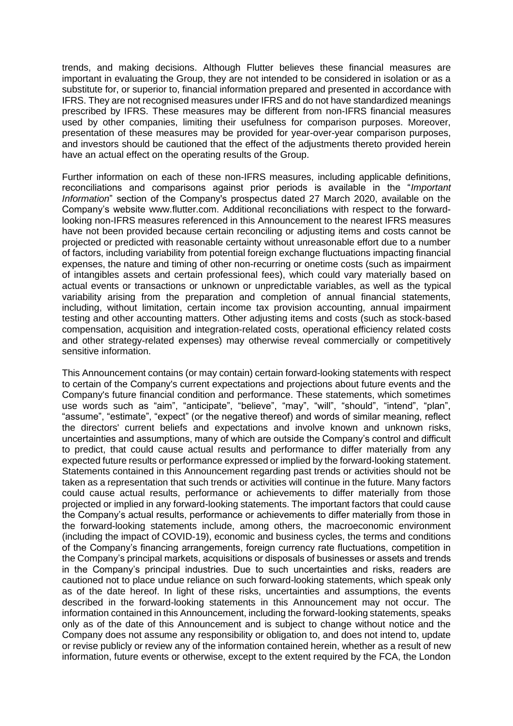trends, and making decisions. Although Flutter believes these financial measures are important in evaluating the Group, they are not intended to be considered in isolation or as a substitute for, or superior to, financial information prepared and presented in accordance with IFRS. They are not recognised measures under IFRS and do not have standardized meanings prescribed by IFRS. These measures may be different from non-IFRS financial measures used by other companies, limiting their usefulness for comparison purposes. Moreover, presentation of these measures may be provided for year-over-year comparison purposes, and investors should be cautioned that the effect of the adjustments thereto provided herein have an actual effect on the operating results of the Group.

Further information on each of these non-IFRS measures, including applicable definitions, reconciliations and comparisons against prior periods is available in the "*Important Information*" section of the Company's prospectus dated 27 March 2020, available on the Company's website www.flutter.com. Additional reconciliations with respect to the forwardlooking non-IFRS measures referenced in this Announcement to the nearest IFRS measures have not been provided because certain reconciling or adjusting items and costs cannot be projected or predicted with reasonable certainty without unreasonable effort due to a number of factors, including variability from potential foreign exchange fluctuations impacting financial expenses, the nature and timing of other non-recurring or onetime costs (such as impairment of intangibles assets and certain professional fees), which could vary materially based on actual events or transactions or unknown or unpredictable variables, as well as the typical variability arising from the preparation and completion of annual financial statements, including, without limitation, certain income tax provision accounting, annual impairment testing and other accounting matters. Other adjusting items and costs (such as stock-based compensation, acquisition and integration-related costs, operational efficiency related costs and other strategy-related expenses) may otherwise reveal commercially or competitively sensitive information.

This Announcement contains (or may contain) certain forward-looking statements with respect to certain of the Company's current expectations and projections about future events and the Company's future financial condition and performance. These statements, which sometimes use words such as "aim", "anticipate", "believe", "may", "will", "should", "intend", "plan", "assume", "estimate", "expect" (or the negative thereof) and words of similar meaning, reflect the directors' current beliefs and expectations and involve known and unknown risks, uncertainties and assumptions, many of which are outside the Company's control and difficult to predict, that could cause actual results and performance to differ materially from any expected future results or performance expressed or implied by the forward-looking statement. Statements contained in this Announcement regarding past trends or activities should not be taken as a representation that such trends or activities will continue in the future. Many factors could cause actual results, performance or achievements to differ materially from those projected or implied in any forward-looking statements. The important factors that could cause the Company's actual results, performance or achievements to differ materially from those in the forward-looking statements include, among others, the macroeconomic environment (including the impact of COVID-19), economic and business cycles, the terms and conditions of the Company's financing arrangements, foreign currency rate fluctuations, competition in the Company's principal markets, acquisitions or disposals of businesses or assets and trends in the Company's principal industries. Due to such uncertainties and risks, readers are cautioned not to place undue reliance on such forward-looking statements, which speak only as of the date hereof. In light of these risks, uncertainties and assumptions, the events described in the forward-looking statements in this Announcement may not occur. The information contained in this Announcement, including the forward-looking statements, speaks only as of the date of this Announcement and is subject to change without notice and the Company does not assume any responsibility or obligation to, and does not intend to, update or revise publicly or review any of the information contained herein, whether as a result of new information, future events or otherwise, except to the extent required by the FCA, the London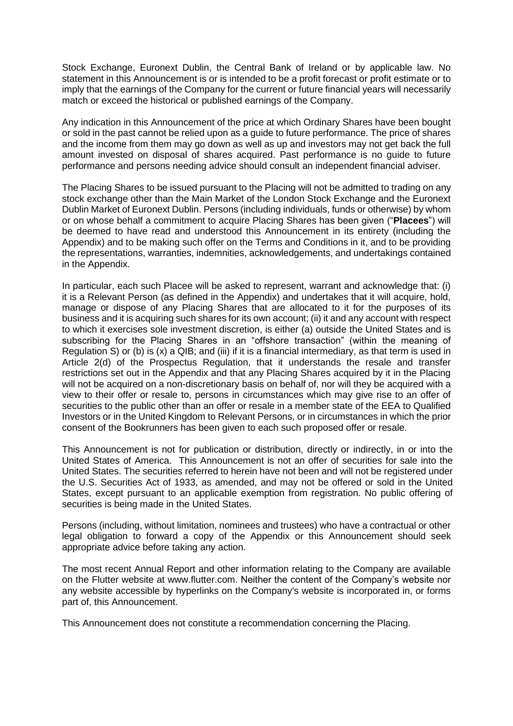Stock Exchange, Euronext Dublin, the Central Bank of Ireland or by applicable law. No statement in this Announcement is or is intended to be a profit forecast or profit estimate or to imply that the earnings of the Company for the current or future financial years will necessarily match or exceed the historical or published earnings of the Company.

Any indication in this Announcement of the price at which Ordinary Shares have been bought or sold in the past cannot be relied upon as a guide to future performance. The price of shares and the income from them may go down as well as up and investors may not get back the full amount invested on disposal of shares acquired. Past performance is no guide to future performance and persons needing advice should consult an independent financial adviser.

The Placing Shares to be issued pursuant to the Placing will not be admitted to trading on any stock exchange other than the Main Market of the London Stock Exchange and the Euronext Dublin Market of Euronext Dublin. Persons (including individuals, funds or otherwise) by whom or on whose behalf a commitment to acquire Placing Shares has been given ("**Placees**") will be deemed to have read and understood this Announcement in its entirety (including the Appendix) and to be making such offer on the Terms and Conditions in it, and to be providing the representations, warranties, indemnities, acknowledgements, and undertakings contained in the Appendix.

In particular, each such Placee will be asked to represent, warrant and acknowledge that: (i) it is a Relevant Person (as defined in the Appendix) and undertakes that it will acquire, hold, manage or dispose of any Placing Shares that are allocated to it for the purposes of its business and it is acquiring such shares for its own account; (ii) it and any account with respect to which it exercises sole investment discretion, is either (a) outside the United States and is subscribing for the Placing Shares in an "offshore transaction" (within the meaning of Regulation S) or (b) is (x) a QIB; and (iii) if it is a financial intermediary, as that term is used in Article 2(d) of the Prospectus Regulation, that it understands the resale and transfer restrictions set out in the Appendix and that any Placing Shares acquired by it in the Placing will not be acquired on a non-discretionary basis on behalf of, nor will they be acquired with a view to their offer or resale to, persons in circumstances which may give rise to an offer of securities to the public other than an offer or resale in a member state of the EEA to Qualified Investors or in the United Kingdom to Relevant Persons, or in circumstances in which the prior consent of the Bookrunners has been given to each such proposed offer or resale.

This Announcement is not for publication or distribution, directly or indirectly, in or into the United States of America. This Announcement is not an offer of securities for sale into the United States. The securities referred to herein have not been and will not be registered under the U.S. Securities Act of 1933, as amended, and may not be offered or sold in the United States, except pursuant to an applicable exemption from registration. No public offering of securities is being made in the United States.

Persons (including, without limitation, nominees and trustees) who have a contractual or other legal obligation to forward a copy of the Appendix or this Announcement should seek appropriate advice before taking any action.

The most recent Annual Report and other information relating to the Company are available on the Flutter website at www.flutter.com. Neither the content of the Company's website nor any website accessible by hyperlinks on the Company's website is incorporated in, or forms part of, this Announcement.

This Announcement does not constitute a recommendation concerning the Placing.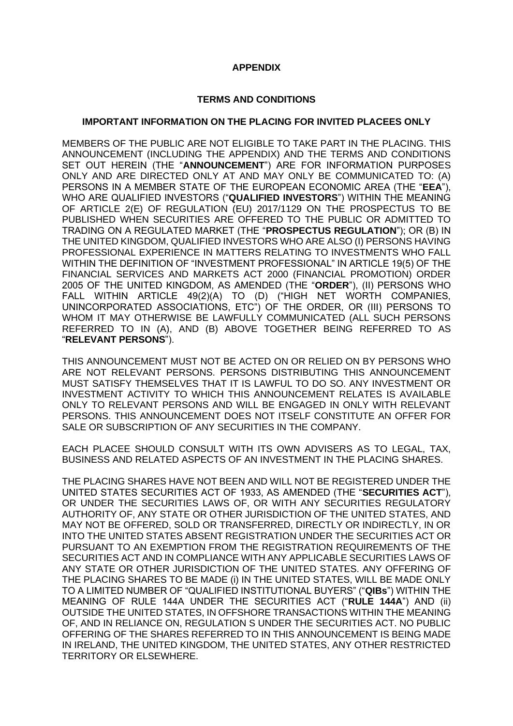## **APPENDIX**

#### **TERMS AND CONDITIONS**

#### **IMPORTANT INFORMATION ON THE PLACING FOR INVITED PLACEES ONLY**

MEMBERS OF THE PUBLIC ARE NOT ELIGIBLE TO TAKE PART IN THE PLACING. THIS ANNOUNCEMENT (INCLUDING THE APPENDIX) AND THE TERMS AND CONDITIONS SET OUT HEREIN (THE "**ANNOUNCEMENT**") ARE FOR INFORMATION PURPOSES ONLY AND ARE DIRECTED ONLY AT AND MAY ONLY BE COMMUNICATED TO: (A) PERSONS IN A MEMBER STATE OF THE EUROPEAN ECONOMIC AREA (THE "**EEA**"), WHO ARE QUALIFIED INVESTORS ("**QUALIFIED INVESTORS**") WITHIN THE MEANING OF ARTICLE 2(E) OF REGULATION (EU) 2017/1129 ON THE PROSPECTUS TO BE PUBLISHED WHEN SECURITIES ARE OFFERED TO THE PUBLIC OR ADMITTED TO TRADING ON A REGULATED MARKET (THE "**PROSPECTUS REGULATION**"); OR (B) IN THE UNITED KINGDOM, QUALIFIED INVESTORS WHO ARE ALSO (I) PERSONS HAVING PROFESSIONAL EXPERIENCE IN MATTERS RELATING TO INVESTMENTS WHO FALL WITHIN THE DEFINITION OF "INVESTMENT PROFESSIONAL" IN ARTICLE 19(5) OF THE FINANCIAL SERVICES AND MARKETS ACT 2000 (FINANCIAL PROMOTION) ORDER 2005 OF THE UNITED KINGDOM, AS AMENDED (THE "**ORDER**"), (II) PERSONS WHO FALL WITHIN ARTICLE 49(2)(A) TO (D) ("HIGH NET WORTH COMPANIES, UNINCORPORATED ASSOCIATIONS, ETC") OF THE ORDER, OR (III) PERSONS TO WHOM IT MAY OTHERWISE BE LAWFULLY COMMUNICATED (ALL SUCH PERSONS REFERRED TO IN (A), AND (B) ABOVE TOGETHER BEING REFERRED TO AS "**RELEVANT PERSONS**").

THIS ANNOUNCEMENT MUST NOT BE ACTED ON OR RELIED ON BY PERSONS WHO ARE NOT RELEVANT PERSONS. PERSONS DISTRIBUTING THIS ANNOUNCEMENT MUST SATISFY THEMSELVES THAT IT IS LAWFUL TO DO SO. ANY INVESTMENT OR INVESTMENT ACTIVITY TO WHICH THIS ANNOUNCEMENT RELATES IS AVAILABLE ONLY TO RELEVANT PERSONS AND WILL BE ENGAGED IN ONLY WITH RELEVANT PERSONS. THIS ANNOUNCEMENT DOES NOT ITSELF CONSTITUTE AN OFFER FOR SALE OR SUBSCRIPTION OF ANY SECURITIES IN THE COMPANY.

EACH PLACEE SHOULD CONSULT WITH ITS OWN ADVISERS AS TO LEGAL, TAX, BUSINESS AND RELATED ASPECTS OF AN INVESTMENT IN THE PLACING SHARES.

THE PLACING SHARES HAVE NOT BEEN AND WILL NOT BE REGISTERED UNDER THE UNITED STATES SECURITIES ACT OF 1933, AS AMENDED (THE "**SECURITIES ACT**"), OR UNDER THE SECURITIES LAWS OF, OR WITH ANY SECURITIES REGULATORY AUTHORITY OF, ANY STATE OR OTHER JURISDICTION OF THE UNITED STATES, AND MAY NOT BE OFFERED, SOLD OR TRANSFERRED, DIRECTLY OR INDIRECTLY, IN OR INTO THE UNITED STATES ABSENT REGISTRATION UNDER THE SECURITIES ACT OR PURSUANT TO AN EXEMPTION FROM THE REGISTRATION REQUIREMENTS OF THE SECURITIES ACT AND IN COMPLIANCE WITH ANY APPLICABLE SECURITIES LAWS OF ANY STATE OR OTHER JURISDICTION OF THE UNITED STATES. ANY OFFERING OF THE PLACING SHARES TO BE MADE (i) IN THE UNITED STATES, WILL BE MADE ONLY TO A LIMITED NUMBER OF "QUALIFIED INSTITUTIONAL BUYERS" ("**QIBs**") WITHIN THE MEANING OF RULE 144A UNDER THE SECURITIES ACT ("**RULE 144A**") AND (ii) OUTSIDE THE UNITED STATES, IN OFFSHORE TRANSACTIONS WITHIN THE MEANING OF, AND IN RELIANCE ON, REGULATION S UNDER THE SECURITIES ACT. NO PUBLIC OFFERING OF THE SHARES REFERRED TO IN THIS ANNOUNCEMENT IS BEING MADE IN IRELAND, THE UNITED KINGDOM, THE UNITED STATES, ANY OTHER RESTRICTED TERRITORY OR ELSEWHERE.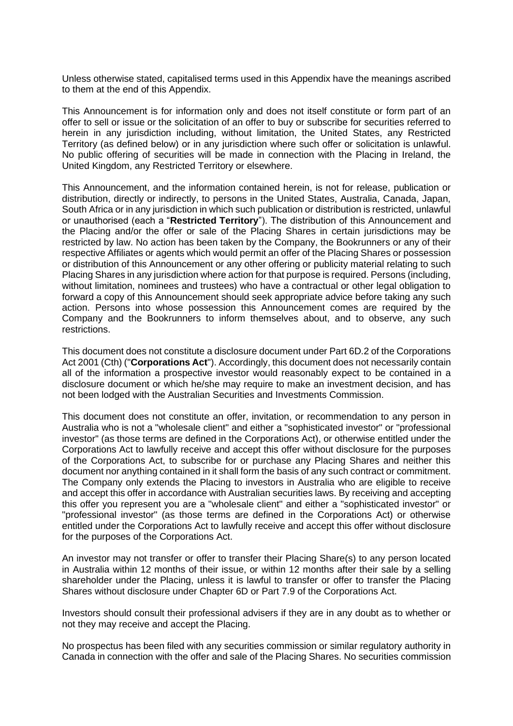Unless otherwise stated, capitalised terms used in this Appendix have the meanings ascribed to them at the end of this Appendix.

This Announcement is for information only and does not itself constitute or form part of an offer to sell or issue or the solicitation of an offer to buy or subscribe for securities referred to herein in any jurisdiction including, without limitation, the United States, any Restricted Territory (as defined below) or in any jurisdiction where such offer or solicitation is unlawful. No public offering of securities will be made in connection with the Placing in Ireland, the United Kingdom, any Restricted Territory or elsewhere.

This Announcement, and the information contained herein, is not for release, publication or distribution, directly or indirectly, to persons in the United States, Australia, Canada, Japan, South Africa or in any jurisdiction in which such publication or distribution is restricted, unlawful or unauthorised (each a "**Restricted Territory**"). The distribution of this Announcement and the Placing and/or the offer or sale of the Placing Shares in certain jurisdictions may be restricted by law. No action has been taken by the Company, the Bookrunners or any of their respective Affiliates or agents which would permit an offer of the Placing Shares or possession or distribution of this Announcement or any other offering or publicity material relating to such Placing Shares in any jurisdiction where action for that purpose is required. Persons (including, without limitation, nominees and trustees) who have a contractual or other legal obligation to forward a copy of this Announcement should seek appropriate advice before taking any such action. Persons into whose possession this Announcement comes are required by the Company and the Bookrunners to inform themselves about, and to observe, any such restrictions.

This document does not constitute a disclosure document under Part 6D.2 of the Corporations Act 2001 (Cth) ("**Corporations Act**"). Accordingly, this document does not necessarily contain all of the information a prospective investor would reasonably expect to be contained in a disclosure document or which he/she may require to make an investment decision, and has not been lodged with the Australian Securities and Investments Commission.

This document does not constitute an offer, invitation, or recommendation to any person in Australia who is not a "wholesale client" and either a "sophisticated investor" or "professional investor" (as those terms are defined in the Corporations Act), or otherwise entitled under the Corporations Act to lawfully receive and accept this offer without disclosure for the purposes of the Corporations Act, to subscribe for or purchase any Placing Shares and neither this document nor anything contained in it shall form the basis of any such contract or commitment. The Company only extends the Placing to investors in Australia who are eligible to receive and accept this offer in accordance with Australian securities laws. By receiving and accepting this offer you represent you are a "wholesale client" and either a "sophisticated investor" or "professional investor" (as those terms are defined in the Corporations Act) or otherwise entitled under the Corporations Act to lawfully receive and accept this offer without disclosure for the purposes of the Corporations Act.

An investor may not transfer or offer to transfer their Placing Share(s) to any person located in Australia within 12 months of their issue, or within 12 months after their sale by a selling shareholder under the Placing, unless it is lawful to transfer or offer to transfer the Placing Shares without disclosure under Chapter 6D or Part 7.9 of the Corporations Act.

Investors should consult their professional advisers if they are in any doubt as to whether or not they may receive and accept the Placing.

No prospectus has been filed with any securities commission or similar regulatory authority in Canada in connection with the offer and sale of the Placing Shares. No securities commission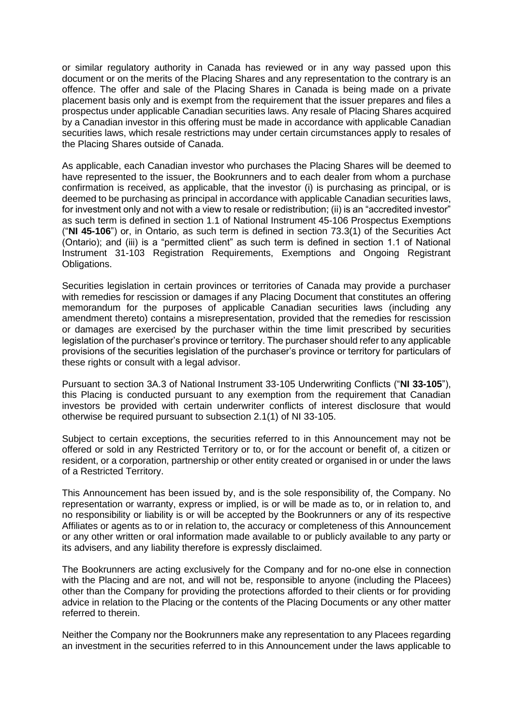or similar regulatory authority in Canada has reviewed or in any way passed upon this document or on the merits of the Placing Shares and any representation to the contrary is an offence. The offer and sale of the Placing Shares in Canada is being made on a private placement basis only and is exempt from the requirement that the issuer prepares and files a prospectus under applicable Canadian securities laws. Any resale of Placing Shares acquired by a Canadian investor in this offering must be made in accordance with applicable Canadian securities laws, which resale restrictions may under certain circumstances apply to resales of the Placing Shares outside of Canada.

As applicable, each Canadian investor who purchases the Placing Shares will be deemed to have represented to the issuer, the Bookrunners and to each dealer from whom a purchase confirmation is received, as applicable, that the investor (i) is purchasing as principal, or is deemed to be purchasing as principal in accordance with applicable Canadian securities laws, for investment only and not with a view to resale or redistribution; (ii) is an "accredited investor" as such term is defined in section 1.1 of National Instrument 45-106 Prospectus Exemptions ("**NI 45-106**") or, in Ontario, as such term is defined in section 73.3(1) of the Securities Act (Ontario); and (iii) is a "permitted client" as such term is defined in section 1.1 of National Instrument 31-103 Registration Requirements, Exemptions and Ongoing Registrant Obligations.

Securities legislation in certain provinces or territories of Canada may provide a purchaser with remedies for rescission or damages if any Placing Document that constitutes an offering memorandum for the purposes of applicable Canadian securities laws (including any amendment thereto) contains a misrepresentation, provided that the remedies for rescission or damages are exercised by the purchaser within the time limit prescribed by securities legislation of the purchaser's province or territory. The purchaser should refer to any applicable provisions of the securities legislation of the purchaser's province or territory for particulars of these rights or consult with a legal advisor.

Pursuant to section 3A.3 of National Instrument 33-105 Underwriting Conflicts ("**NI 33-105**"), this Placing is conducted pursuant to any exemption from the requirement that Canadian investors be provided with certain underwriter conflicts of interest disclosure that would otherwise be required pursuant to subsection 2.1(1) of NI 33-105.

Subject to certain exceptions, the securities referred to in this Announcement may not be offered or sold in any Restricted Territory or to, or for the account or benefit of, a citizen or resident, or a corporation, partnership or other entity created or organised in or under the laws of a Restricted Territory.

This Announcement has been issued by, and is the sole responsibility of, the Company. No representation or warranty, express or implied, is or will be made as to, or in relation to, and no responsibility or liability is or will be accepted by the Bookrunners or any of its respective Affiliates or agents as to or in relation to, the accuracy or completeness of this Announcement or any other written or oral information made available to or publicly available to any party or its advisers, and any liability therefore is expressly disclaimed.

The Bookrunners are acting exclusively for the Company and for no-one else in connection with the Placing and are not, and will not be, responsible to anyone (including the Placees) other than the Company for providing the protections afforded to their clients or for providing advice in relation to the Placing or the contents of the Placing Documents or any other matter referred to therein.

Neither the Company nor the Bookrunners make any representation to any Placees regarding an investment in the securities referred to in this Announcement under the laws applicable to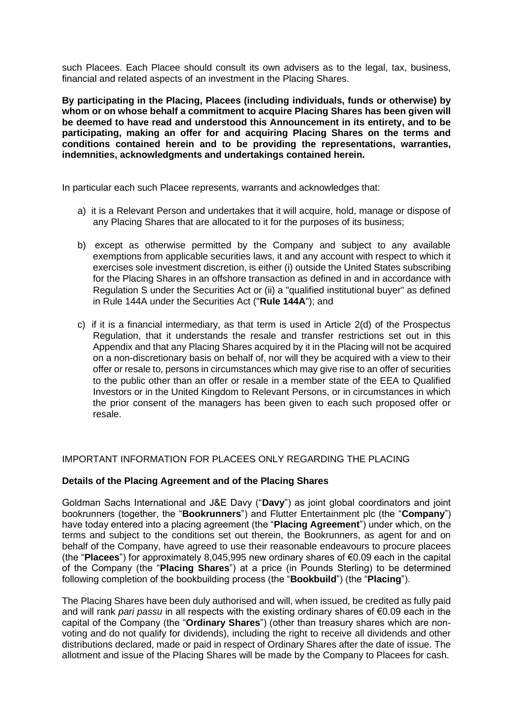such Placees. Each Placee should consult its own advisers as to the legal, tax, business, financial and related aspects of an investment in the Placing Shares.

**By participating in the Placing, Placees (including individuals, funds or otherwise) by whom or on whose behalf a commitment to acquire Placing Shares has been given will be deemed to have read and understood this Announcement in its entirety, and to be participating, making an offer for and acquiring Placing Shares on the terms and conditions contained herein and to be providing the representations, warranties, indemnities, acknowledgments and undertakings contained herein.**

In particular each such Placee represents, warrants and acknowledges that:

- a) it is a Relevant Person and undertakes that it will acquire, hold, manage or dispose of any Placing Shares that are allocated to it for the purposes of its business;
- b) except as otherwise permitted by the Company and subject to any available exemptions from applicable securities laws, it and any account with respect to which it exercises sole investment discretion, is either (i) outside the United States subscribing for the Placing Shares in an offshore transaction as defined in and in accordance with Regulation S under the Securities Act or (ii) a "qualified institutional buyer" as defined in Rule 144A under the Securities Act ("**Rule 144A**"); and
- c) if it is a financial intermediary, as that term is used in Article 2(d) of the Prospectus Regulation, that it understands the resale and transfer restrictions set out in this Appendix and that any Placing Shares acquired by it in the Placing will not be acquired on a non-discretionary basis on behalf of, nor will they be acquired with a view to their offer or resale to, persons in circumstances which may give rise to an offer of securities to the public other than an offer or resale in a member state of the EEA to Qualified Investors or in the United Kingdom to Relevant Persons, or in circumstances in which the prior consent of the managers has been given to each such proposed offer or resale.

## IMPORTANT INFORMATION FOR PLACEES ONLY REGARDING THE PLACING

## **Details of the Placing Agreement and of the Placing Shares**

Goldman Sachs International and J&E Davy ("**Davy**") as joint global coordinators and joint bookrunners (together, the "**Bookrunners**") and Flutter Entertainment plc (the "**Company**") have today entered into a placing agreement (the "**Placing Agreement**") under which, on the terms and subject to the conditions set out therein, the Bookrunners, as agent for and on behalf of the Company, have agreed to use their reasonable endeavours to procure placees (the "**Placees**") for approximately 8,045,995 new ordinary shares of €0.09 each in the capital of the Company (the "**Placing Shares**") at a price (in Pounds Sterling) to be determined following completion of the bookbuilding process (the "**Bookbuild**") (the "**Placing**").

The Placing Shares have been duly authorised and will, when issued, be credited as fully paid and will rank *pari passu* in all respects with the existing ordinary shares of €0.09 each in the capital of the Company (the "**Ordinary Shares**") (other than treasury shares which are nonvoting and do not qualify for dividends), including the right to receive all dividends and other distributions declared, made or paid in respect of Ordinary Shares after the date of issue. The allotment and issue of the Placing Shares will be made by the Company to Placees for cash.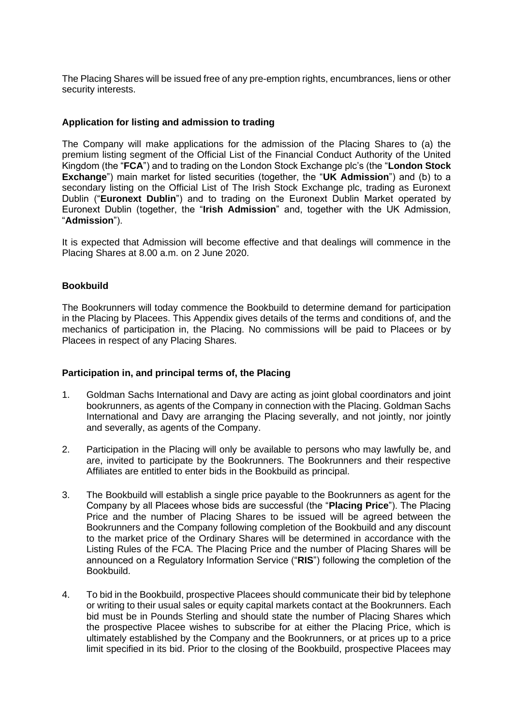The Placing Shares will be issued free of any pre-emption rights, encumbrances, liens or other security interests.

### **Application for listing and admission to trading**

The Company will make applications for the admission of the Placing Shares to (a) the premium listing segment of the Official List of the Financial Conduct Authority of the United Kingdom (the "**FCA**") and to trading on the London Stock Exchange plc's (the "**London Stock Exchange**") main market for listed securities (together, the "**UK Admission**") and (b) to a secondary listing on the Official List of The Irish Stock Exchange plc, trading as Euronext Dublin ("**Euronext Dublin**") and to trading on the Euronext Dublin Market operated by Euronext Dublin (together, the "**Irish Admission**" and, together with the UK Admission, "**Admission**").

It is expected that Admission will become effective and that dealings will commence in the Placing Shares at 8.00 a.m. on 2 June 2020.

#### **Bookbuild**

The Bookrunners will today commence the Bookbuild to determine demand for participation in the Placing by Placees. This Appendix gives details of the terms and conditions of, and the mechanics of participation in, the Placing. No commissions will be paid to Placees or by Placees in respect of any Placing Shares.

#### **Participation in, and principal terms of, the Placing**

- 1. Goldman Sachs International and Davy are acting as joint global coordinators and joint bookrunners, as agents of the Company in connection with the Placing. Goldman Sachs International and Davy are arranging the Placing severally, and not jointly, nor jointly and severally, as agents of the Company.
- 2. Participation in the Placing will only be available to persons who may lawfully be, and are, invited to participate by the Bookrunners. The Bookrunners and their respective Affiliates are entitled to enter bids in the Bookbuild as principal.
- 3. The Bookbuild will establish a single price payable to the Bookrunners as agent for the Company by all Placees whose bids are successful (the "**Placing Price**"). The Placing Price and the number of Placing Shares to be issued will be agreed between the Bookrunners and the Company following completion of the Bookbuild and any discount to the market price of the Ordinary Shares will be determined in accordance with the Listing Rules of the FCA. The Placing Price and the number of Placing Shares will be announced on a Regulatory Information Service ("**RIS**") following the completion of the Bookbuild.
- 4. To bid in the Bookbuild, prospective Placees should communicate their bid by telephone or writing to their usual sales or equity capital markets contact at the Bookrunners. Each bid must be in Pounds Sterling and should state the number of Placing Shares which the prospective Placee wishes to subscribe for at either the Placing Price, which is ultimately established by the Company and the Bookrunners, or at prices up to a price limit specified in its bid. Prior to the closing of the Bookbuild, prospective Placees may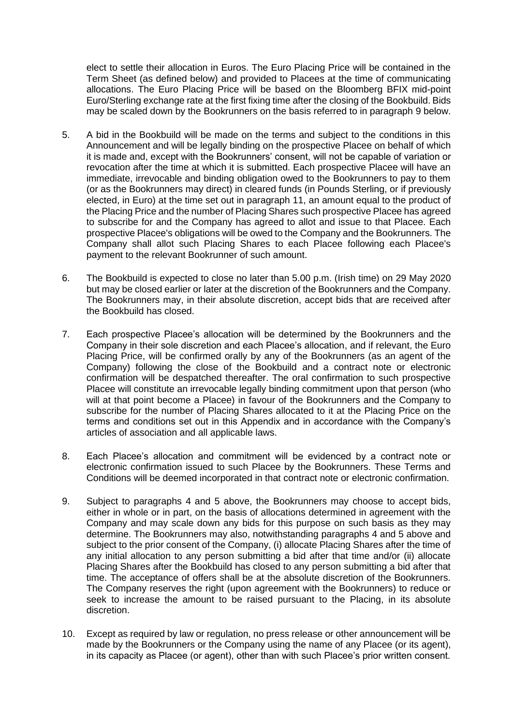elect to settle their allocation in Euros. The Euro Placing Price will be contained in the Term Sheet (as defined below) and provided to Placees at the time of communicating allocations. The Euro Placing Price will be based on the Bloomberg BFIX mid-point Euro/Sterling exchange rate at the first fixing time after the closing of the Bookbuild. Bids may be scaled down by the Bookrunners on the basis referred to in paragraph 9 below.

- 5. A bid in the Bookbuild will be made on the terms and subject to the conditions in this Announcement and will be legally binding on the prospective Placee on behalf of which it is made and, except with the Bookrunners' consent, will not be capable of variation or revocation after the time at which it is submitted. Each prospective Placee will have an immediate, irrevocable and binding obligation owed to the Bookrunners to pay to them (or as the Bookrunners may direct) in cleared funds (in Pounds Sterling, or if previously elected, in Euro) at the time set out in paragraph 11, an amount equal to the product of the Placing Price and the number of Placing Shares such prospective Placee has agreed to subscribe for and the Company has agreed to allot and issue to that Placee. Each prospective Placee's obligations will be owed to the Company and the Bookrunners. The Company shall allot such Placing Shares to each Placee following each Placee's payment to the relevant Bookrunner of such amount.
- 6. The Bookbuild is expected to close no later than 5.00 p.m. (Irish time) on 29 May 2020 but may be closed earlier or later at the discretion of the Bookrunners and the Company. The Bookrunners may, in their absolute discretion, accept bids that are received after the Bookbuild has closed.
- 7. Each prospective Placee's allocation will be determined by the Bookrunners and the Company in their sole discretion and each Placee's allocation, and if relevant, the Euro Placing Price, will be confirmed orally by any of the Bookrunners (as an agent of the Company) following the close of the Bookbuild and a contract note or electronic confirmation will be despatched thereafter. The oral confirmation to such prospective Placee will constitute an irrevocable legally binding commitment upon that person (who will at that point become a Placee) in favour of the Bookrunners and the Company to subscribe for the number of Placing Shares allocated to it at the Placing Price on the terms and conditions set out in this Appendix and in accordance with the Company's articles of association and all applicable laws.
- 8. Each Placee's allocation and commitment will be evidenced by a contract note or electronic confirmation issued to such Placee by the Bookrunners. These Terms and Conditions will be deemed incorporated in that contract note or electronic confirmation.
- 9. Subject to paragraphs 4 and 5 above, the Bookrunners may choose to accept bids, either in whole or in part, on the basis of allocations determined in agreement with the Company and may scale down any bids for this purpose on such basis as they may determine. The Bookrunners may also, notwithstanding paragraphs 4 and 5 above and subject to the prior consent of the Company, (i) allocate Placing Shares after the time of any initial allocation to any person submitting a bid after that time and/or (ii) allocate Placing Shares after the Bookbuild has closed to any person submitting a bid after that time. The acceptance of offers shall be at the absolute discretion of the Bookrunners. The Company reserves the right (upon agreement with the Bookrunners) to reduce or seek to increase the amount to be raised pursuant to the Placing, in its absolute discretion.
- 10. Except as required by law or regulation, no press release or other announcement will be made by the Bookrunners or the Company using the name of any Placee (or its agent), in its capacity as Placee (or agent), other than with such Placee's prior written consent.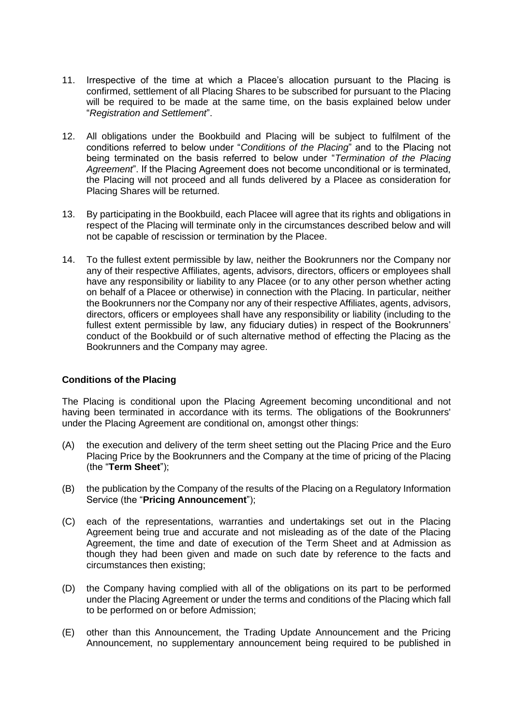- 11. Irrespective of the time at which a Placee's allocation pursuant to the Placing is confirmed, settlement of all Placing Shares to be subscribed for pursuant to the Placing will be required to be made at the same time, on the basis explained below under "*Registration and Settlement*".
- 12. All obligations under the Bookbuild and Placing will be subject to fulfilment of the conditions referred to below under "*Conditions of the Placing*" and to the Placing not being terminated on the basis referred to below under "*Termination of the Placing Agreement*". If the Placing Agreement does not become unconditional or is terminated, the Placing will not proceed and all funds delivered by a Placee as consideration for Placing Shares will be returned.
- 13. By participating in the Bookbuild, each Placee will agree that its rights and obligations in respect of the Placing will terminate only in the circumstances described below and will not be capable of rescission or termination by the Placee.
- 14. To the fullest extent permissible by law, neither the Bookrunners nor the Company nor any of their respective Affiliates, agents, advisors, directors, officers or employees shall have any responsibility or liability to any Placee (or to any other person whether acting on behalf of a Placee or otherwise) in connection with the Placing. In particular, neither the Bookrunners nor the Company nor any of their respective Affiliates, agents, advisors, directors, officers or employees shall have any responsibility or liability (including to the fullest extent permissible by law, any fiduciary duties) in respect of the Bookrunners' conduct of the Bookbuild or of such alternative method of effecting the Placing as the Bookrunners and the Company may agree.

## **Conditions of the Placing**

The Placing is conditional upon the Placing Agreement becoming unconditional and not having been terminated in accordance with its terms. The obligations of the Bookrunners' under the Placing Agreement are conditional on, amongst other things:

- (A) the execution and delivery of the term sheet setting out the Placing Price and the Euro Placing Price by the Bookrunners and the Company at the time of pricing of the Placing (the "**Term Sheet**");
- (B) the publication by the Company of the results of the Placing on a Regulatory Information Service (the "**Pricing Announcement**");
- (C) each of the representations, warranties and undertakings set out in the Placing Agreement being true and accurate and not misleading as of the date of the Placing Agreement, the time and date of execution of the Term Sheet and at Admission as though they had been given and made on such date by reference to the facts and circumstances then existing;
- (D) the Company having complied with all of the obligations on its part to be performed under the Placing Agreement or under the terms and conditions of the Placing which fall to be performed on or before Admission;
- (E) other than this Announcement, the Trading Update Announcement and the Pricing Announcement, no supplementary announcement being required to be published in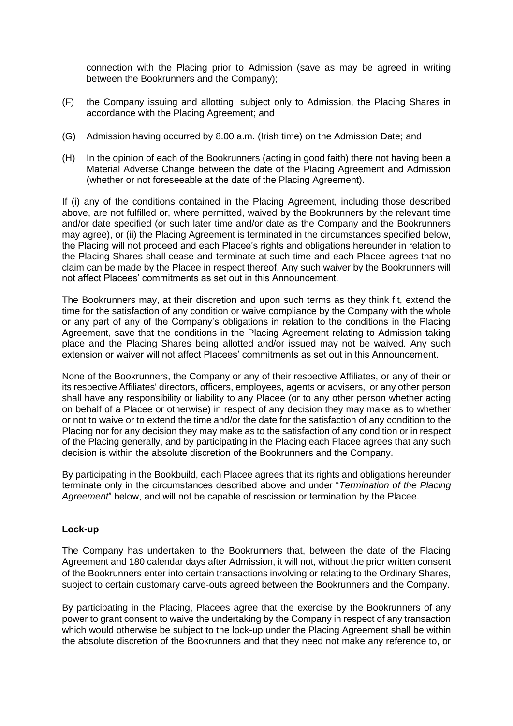connection with the Placing prior to Admission (save as may be agreed in writing between the Bookrunners and the Company);

- (F) the Company issuing and allotting, subject only to Admission, the Placing Shares in accordance with the Placing Agreement; and
- (G) Admission having occurred by 8.00 a.m. (Irish time) on the Admission Date; and
- (H) In the opinion of each of the Bookrunners (acting in good faith) there not having been a Material Adverse Change between the date of the Placing Agreement and Admission (whether or not foreseeable at the date of the Placing Agreement).

If (i) any of the conditions contained in the Placing Agreement, including those described above, are not fulfilled or, where permitted, waived by the Bookrunners by the relevant time and/or date specified (or such later time and/or date as the Company and the Bookrunners may agree), or (ii) the Placing Agreement is terminated in the circumstances specified below, the Placing will not proceed and each Placee's rights and obligations hereunder in relation to the Placing Shares shall cease and terminate at such time and each Placee agrees that no claim can be made by the Placee in respect thereof. Any such waiver by the Bookrunners will not affect Placees' commitments as set out in this Announcement.

The Bookrunners may, at their discretion and upon such terms as they think fit, extend the time for the satisfaction of any condition or waive compliance by the Company with the whole or any part of any of the Company's obligations in relation to the conditions in the Placing Agreement, save that the conditions in the Placing Agreement relating to Admission taking place and the Placing Shares being allotted and/or issued may not be waived. Any such extension or waiver will not affect Placees' commitments as set out in this Announcement.

None of the Bookrunners, the Company or any of their respective Affiliates, or any of their or its respective Affiliates' directors, officers, employees, agents or advisers, or any other person shall have any responsibility or liability to any Placee (or to any other person whether acting on behalf of a Placee or otherwise) in respect of any decision they may make as to whether or not to waive or to extend the time and/or the date for the satisfaction of any condition to the Placing nor for any decision they may make as to the satisfaction of any condition or in respect of the Placing generally, and by participating in the Placing each Placee agrees that any such decision is within the absolute discretion of the Bookrunners and the Company.

By participating in the Bookbuild, each Placee agrees that its rights and obligations hereunder terminate only in the circumstances described above and under "*Termination of the Placing Agreement*" below, and will not be capable of rescission or termination by the Placee.

## **Lock-up**

The Company has undertaken to the Bookrunners that, between the date of the Placing Agreement and 180 calendar days after Admission, it will not, without the prior written consent of the Bookrunners enter into certain transactions involving or relating to the Ordinary Shares, subject to certain customary carve-outs agreed between the Bookrunners and the Company.

By participating in the Placing, Placees agree that the exercise by the Bookrunners of any power to grant consent to waive the undertaking by the Company in respect of any transaction which would otherwise be subject to the lock-up under the Placing Agreement shall be within the absolute discretion of the Bookrunners and that they need not make any reference to, or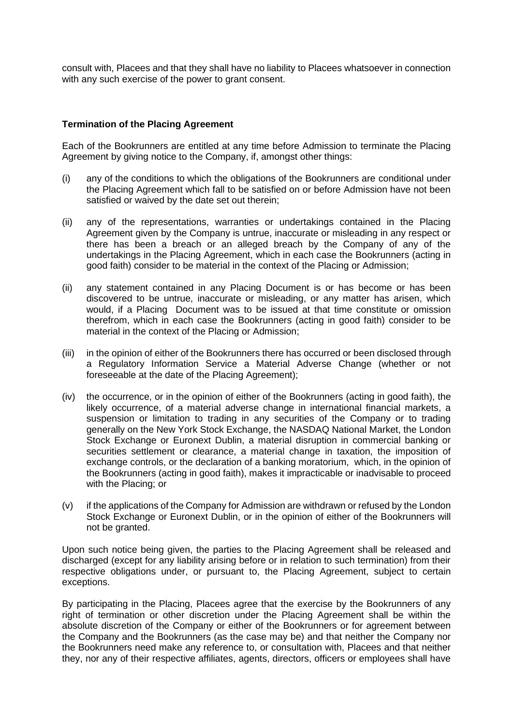consult with, Placees and that they shall have no liability to Placees whatsoever in connection with any such exercise of the power to grant consent.

# **Termination of the Placing Agreement**

Each of the Bookrunners are entitled at any time before Admission to terminate the Placing Agreement by giving notice to the Company, if, amongst other things:

- (i) any of the conditions to which the obligations of the Bookrunners are conditional under the Placing Agreement which fall to be satisfied on or before Admission have not been satisfied or waived by the date set out therein;
- (ii) any of the representations, warranties or undertakings contained in the Placing Agreement given by the Company is untrue, inaccurate or misleading in any respect or there has been a breach or an alleged breach by the Company of any of the undertakings in the Placing Agreement, which in each case the Bookrunners (acting in good faith) consider to be material in the context of the Placing or Admission;
- (ii) any statement contained in any Placing Document is or has become or has been discovered to be untrue, inaccurate or misleading, or any matter has arisen, which would, if a Placing Document was to be issued at that time constitute or omission therefrom, which in each case the Bookrunners (acting in good faith) consider to be material in the context of the Placing or Admission;
- (iii) in the opinion of either of the Bookrunners there has occurred or been disclosed through a Regulatory Information Service a Material Adverse Change (whether or not foreseeable at the date of the Placing Agreement);
- (iv) the occurrence, or in the opinion of either of the Bookrunners (acting in good faith), the likely occurrence, of a material adverse change in international financial markets, a suspension or limitation to trading in any securities of the Company or to trading generally on the New York Stock Exchange, the NASDAQ National Market, the London Stock Exchange or Euronext Dublin, a material disruption in commercial banking or securities settlement or clearance, a material change in taxation, the imposition of exchange controls, or the declaration of a banking moratorium, which, in the opinion of the Bookrunners (acting in good faith), makes it impracticable or inadvisable to proceed with the Placing; or
- (v) if the applications of the Company for Admission are withdrawn or refused by the London Stock Exchange or Euronext Dublin, or in the opinion of either of the Bookrunners will not be granted.

Upon such notice being given, the parties to the Placing Agreement shall be released and discharged (except for any liability arising before or in relation to such termination) from their respective obligations under, or pursuant to, the Placing Agreement, subject to certain exceptions.

By participating in the Placing, Placees agree that the exercise by the Bookrunners of any right of termination or other discretion under the Placing Agreement shall be within the absolute discretion of the Company or either of the Bookrunners or for agreement between the Company and the Bookrunners (as the case may be) and that neither the Company nor the Bookrunners need make any reference to, or consultation with, Placees and that neither they, nor any of their respective affiliates, agents, directors, officers or employees shall have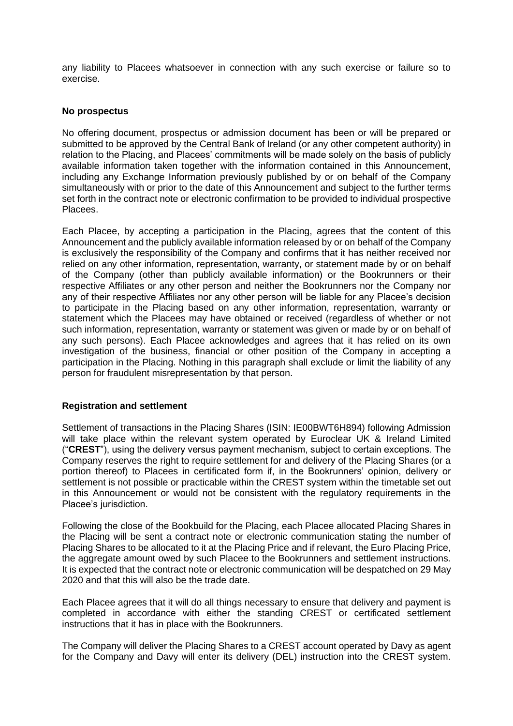any liability to Placees whatsoever in connection with any such exercise or failure so to exercise.

#### **No prospectus**

No offering document, prospectus or admission document has been or will be prepared or submitted to be approved by the Central Bank of Ireland (or any other competent authority) in relation to the Placing, and Placees' commitments will be made solely on the basis of publicly available information taken together with the information contained in this Announcement, including any Exchange Information previously published by or on behalf of the Company simultaneously with or prior to the date of this Announcement and subject to the further terms set forth in the contract note or electronic confirmation to be provided to individual prospective Placees.

Each Placee, by accepting a participation in the Placing, agrees that the content of this Announcement and the publicly available information released by or on behalf of the Company is exclusively the responsibility of the Company and confirms that it has neither received nor relied on any other information, representation, warranty, or statement made by or on behalf of the Company (other than publicly available information) or the Bookrunners or their respective Affiliates or any other person and neither the Bookrunners nor the Company nor any of their respective Affiliates nor any other person will be liable for any Placee's decision to participate in the Placing based on any other information, representation, warranty or statement which the Placees may have obtained or received (regardless of whether or not such information, representation, warranty or statement was given or made by or on behalf of any such persons). Each Placee acknowledges and agrees that it has relied on its own investigation of the business, financial or other position of the Company in accepting a participation in the Placing. Nothing in this paragraph shall exclude or limit the liability of any person for fraudulent misrepresentation by that person.

## **Registration and settlement**

Settlement of transactions in the Placing Shares (ISIN: IE00BWT6H894) following Admission will take place within the relevant system operated by Euroclear UK & Ireland Limited ("**CREST**"), using the delivery versus payment mechanism, subject to certain exceptions. The Company reserves the right to require settlement for and delivery of the Placing Shares (or a portion thereof) to Placees in certificated form if, in the Bookrunners' opinion, delivery or settlement is not possible or practicable within the CREST system within the timetable set out in this Announcement or would not be consistent with the regulatory requirements in the Placee's jurisdiction.

Following the close of the Bookbuild for the Placing, each Placee allocated Placing Shares in the Placing will be sent a contract note or electronic communication stating the number of Placing Shares to be allocated to it at the Placing Price and if relevant, the Euro Placing Price, the aggregate amount owed by such Placee to the Bookrunners and settlement instructions. It is expected that the contract note or electronic communication will be despatched on 29 May 2020 and that this will also be the trade date.

Each Placee agrees that it will do all things necessary to ensure that delivery and payment is completed in accordance with either the standing CREST or certificated settlement instructions that it has in place with the Bookrunners.

The Company will deliver the Placing Shares to a CREST account operated by Davy as agent for the Company and Davy will enter its delivery (DEL) instruction into the CREST system.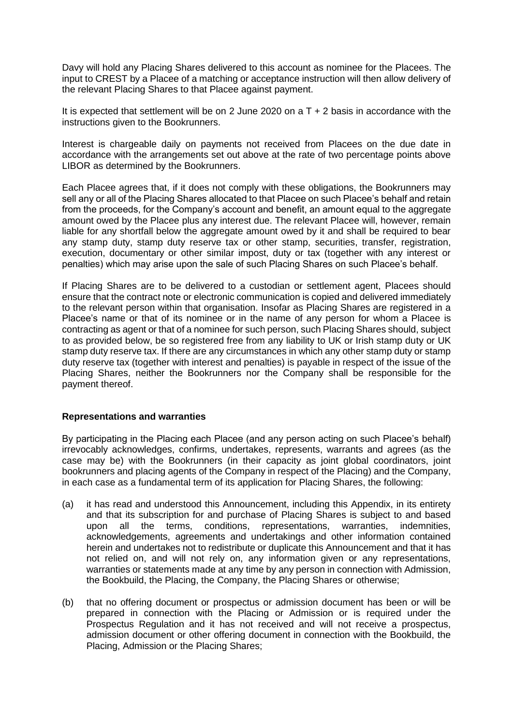Davy will hold any Placing Shares delivered to this account as nominee for the Placees. The input to CREST by a Placee of a matching or acceptance instruction will then allow delivery of the relevant Placing Shares to that Placee against payment.

It is expected that settlement will be on 2 June 2020 on a T + 2 basis in accordance with the instructions given to the Bookrunners.

Interest is chargeable daily on payments not received from Placees on the due date in accordance with the arrangements set out above at the rate of two percentage points above LIBOR as determined by the Bookrunners.

Each Placee agrees that, if it does not comply with these obligations, the Bookrunners may sell any or all of the Placing Shares allocated to that Placee on such Placee's behalf and retain from the proceeds, for the Company's account and benefit, an amount equal to the aggregate amount owed by the Placee plus any interest due. The relevant Placee will, however, remain liable for any shortfall below the aggregate amount owed by it and shall be required to bear any stamp duty, stamp duty reserve tax or other stamp, securities, transfer, registration, execution, documentary or other similar impost, duty or tax (together with any interest or penalties) which may arise upon the sale of such Placing Shares on such Placee's behalf.

If Placing Shares are to be delivered to a custodian or settlement agent, Placees should ensure that the contract note or electronic communication is copied and delivered immediately to the relevant person within that organisation. Insofar as Placing Shares are registered in a Placee's name or that of its nominee or in the name of any person for whom a Placee is contracting as agent or that of a nominee for such person, such Placing Shares should, subject to as provided below, be so registered free from any liability to UK or Irish stamp duty or UK stamp duty reserve tax. If there are any circumstances in which any other stamp duty or stamp duty reserve tax (together with interest and penalties) is payable in respect of the issue of the Placing Shares, neither the Bookrunners nor the Company shall be responsible for the payment thereof.

#### **Representations and warranties**

By participating in the Placing each Placee (and any person acting on such Placee's behalf) irrevocably acknowledges, confirms, undertakes, represents, warrants and agrees (as the case may be) with the Bookrunners (in their capacity as joint global coordinators, joint bookrunners and placing agents of the Company in respect of the Placing) and the Company, in each case as a fundamental term of its application for Placing Shares, the following:

- (a) it has read and understood this Announcement, including this Appendix, in its entirety and that its subscription for and purchase of Placing Shares is subject to and based upon all the terms, conditions, representations, warranties, indemnities, acknowledgements, agreements and undertakings and other information contained herein and undertakes not to redistribute or duplicate this Announcement and that it has not relied on, and will not rely on, any information given or any representations, warranties or statements made at any time by any person in connection with Admission, the Bookbuild, the Placing, the Company, the Placing Shares or otherwise;
- (b) that no offering document or prospectus or admission document has been or will be prepared in connection with the Placing or Admission or is required under the Prospectus Regulation and it has not received and will not receive a prospectus, admission document or other offering document in connection with the Bookbuild, the Placing, Admission or the Placing Shares;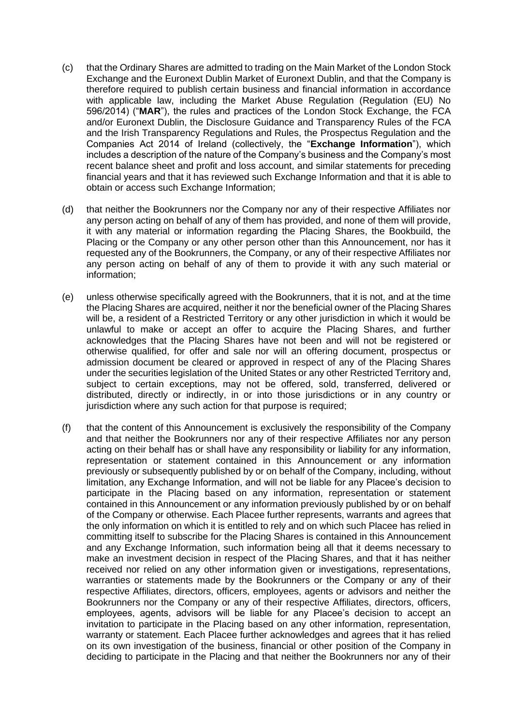- (c) that the Ordinary Shares are admitted to trading on the Main Market of the London Stock Exchange and the Euronext Dublin Market of Euronext Dublin, and that the Company is therefore required to publish certain business and financial information in accordance with applicable law, including the Market Abuse Regulation (Regulation (EU) No 596/2014) ("**MAR**"), the rules and practices of the London Stock Exchange, the FCA and/or Euronext Dublin, the Disclosure Guidance and Transparency Rules of the FCA and the Irish Transparency Regulations and Rules, the Prospectus Regulation and the Companies Act 2014 of Ireland (collectively, the "**Exchange Information**"), which includes a description of the nature of the Company's business and the Company's most recent balance sheet and profit and loss account, and similar statements for preceding financial years and that it has reviewed such Exchange Information and that it is able to obtain or access such Exchange Information;
- (d) that neither the Bookrunners nor the Company nor any of their respective Affiliates nor any person acting on behalf of any of them has provided, and none of them will provide, it with any material or information regarding the Placing Shares, the Bookbuild, the Placing or the Company or any other person other than this Announcement, nor has it requested any of the Bookrunners, the Company, or any of their respective Affiliates nor any person acting on behalf of any of them to provide it with any such material or information;
- (e) unless otherwise specifically agreed with the Bookrunners, that it is not, and at the time the Placing Shares are acquired, neither it nor the beneficial owner of the Placing Shares will be, a resident of a Restricted Territory or any other jurisdiction in which it would be unlawful to make or accept an offer to acquire the Placing Shares, and further acknowledges that the Placing Shares have not been and will not be registered or otherwise qualified, for offer and sale nor will an offering document, prospectus or admission document be cleared or approved in respect of any of the Placing Shares under the securities legislation of the United States or any other Restricted Territory and, subject to certain exceptions, may not be offered, sold, transferred, delivered or distributed, directly or indirectly, in or into those jurisdictions or in any country or jurisdiction where any such action for that purpose is required;
- (f) that the content of this Announcement is exclusively the responsibility of the Company and that neither the Bookrunners nor any of their respective Affiliates nor any person acting on their behalf has or shall have any responsibility or liability for any information, representation or statement contained in this Announcement or any information previously or subsequently published by or on behalf of the Company, including, without limitation, any Exchange Information, and will not be liable for any Placee's decision to participate in the Placing based on any information, representation or statement contained in this Announcement or any information previously published by or on behalf of the Company or otherwise. Each Placee further represents, warrants and agrees that the only information on which it is entitled to rely and on which such Placee has relied in committing itself to subscribe for the Placing Shares is contained in this Announcement and any Exchange Information, such information being all that it deems necessary to make an investment decision in respect of the Placing Shares, and that it has neither received nor relied on any other information given or investigations, representations, warranties or statements made by the Bookrunners or the Company or any of their respective Affiliates, directors, officers, employees, agents or advisors and neither the Bookrunners nor the Company or any of their respective Affiliates, directors, officers, employees, agents, advisors will be liable for any Placee's decision to accept an invitation to participate in the Placing based on any other information, representation, warranty or statement. Each Placee further acknowledges and agrees that it has relied on its own investigation of the business, financial or other position of the Company in deciding to participate in the Placing and that neither the Bookrunners nor any of their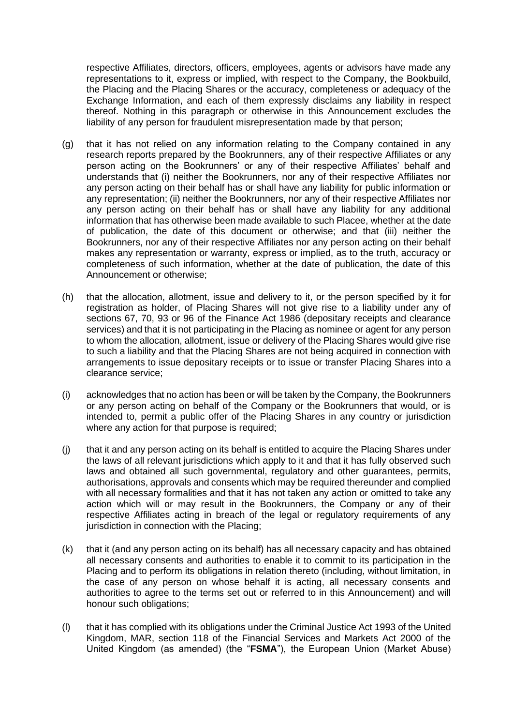respective Affiliates, directors, officers, employees, agents or advisors have made any representations to it, express or implied, with respect to the Company, the Bookbuild, the Placing and the Placing Shares or the accuracy, completeness or adequacy of the Exchange Information, and each of them expressly disclaims any liability in respect thereof. Nothing in this paragraph or otherwise in this Announcement excludes the liability of any person for fraudulent misrepresentation made by that person;

- (g) that it has not relied on any information relating to the Company contained in any research reports prepared by the Bookrunners, any of their respective Affiliates or any person acting on the Bookrunners' or any of their respective Affiliates' behalf and understands that (i) neither the Bookrunners, nor any of their respective Affiliates nor any person acting on their behalf has or shall have any liability for public information or any representation; (ii) neither the Bookrunners, nor any of their respective Affiliates nor any person acting on their behalf has or shall have any liability for any additional information that has otherwise been made available to such Placee, whether at the date of publication, the date of this document or otherwise; and that (iii) neither the Bookrunners, nor any of their respective Affiliates nor any person acting on their behalf makes any representation or warranty, express or implied, as to the truth, accuracy or completeness of such information, whether at the date of publication, the date of this Announcement or otherwise;
- (h) that the allocation, allotment, issue and delivery to it, or the person specified by it for registration as holder, of Placing Shares will not give rise to a liability under any of sections 67, 70, 93 or 96 of the Finance Act 1986 (depositary receipts and clearance services) and that it is not participating in the Placing as nominee or agent for any person to whom the allocation, allotment, issue or delivery of the Placing Shares would give rise to such a liability and that the Placing Shares are not being acquired in connection with arrangements to issue depositary receipts or to issue or transfer Placing Shares into a clearance service;
- (i) acknowledges that no action has been or will be taken by the Company, the Bookrunners or any person acting on behalf of the Company or the Bookrunners that would, or is intended to, permit a public offer of the Placing Shares in any country or jurisdiction where any action for that purpose is required;
- (j) that it and any person acting on its behalf is entitled to acquire the Placing Shares under the laws of all relevant jurisdictions which apply to it and that it has fully observed such laws and obtained all such governmental, regulatory and other guarantees, permits, authorisations, approvals and consents which may be required thereunder and complied with all necessary formalities and that it has not taken any action or omitted to take any action which will or may result in the Bookrunners, the Company or any of their respective Affiliates acting in breach of the legal or regulatory requirements of any jurisdiction in connection with the Placing;
- (k) that it (and any person acting on its behalf) has all necessary capacity and has obtained all necessary consents and authorities to enable it to commit to its participation in the Placing and to perform its obligations in relation thereto (including, without limitation, in the case of any person on whose behalf it is acting, all necessary consents and authorities to agree to the terms set out or referred to in this Announcement) and will honour such obligations;
- (l) that it has complied with its obligations under the Criminal Justice Act 1993 of the United Kingdom, MAR, section 118 of the Financial Services and Markets Act 2000 of the United Kingdom (as amended) (the "**FSMA**"), the European Union (Market Abuse)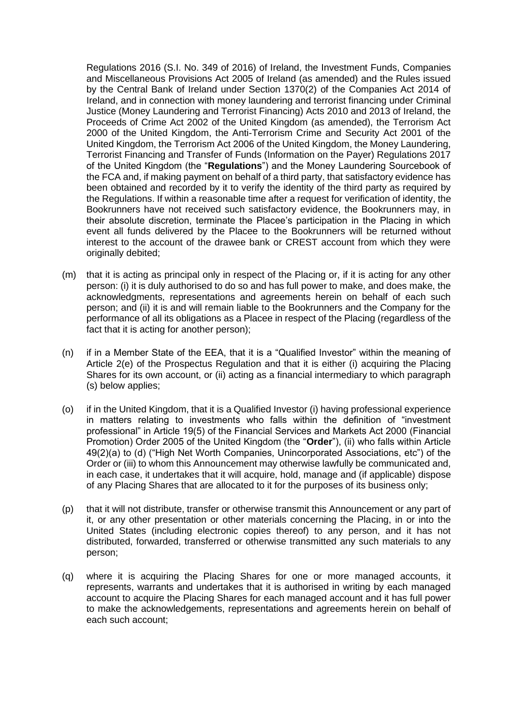Regulations 2016 (S.I. No. 349 of 2016) of Ireland, the Investment Funds, Companies and Miscellaneous Provisions Act 2005 of Ireland (as amended) and the Rules issued by the Central Bank of Ireland under Section 1370(2) of the Companies Act 2014 of Ireland, and in connection with money laundering and terrorist financing under Criminal Justice (Money Laundering and Terrorist Financing) Acts 2010 and 2013 of Ireland, the Proceeds of Crime Act 2002 of the United Kingdom (as amended), the Terrorism Act 2000 of the United Kingdom, the Anti-Terrorism Crime and Security Act 2001 of the United Kingdom, the Terrorism Act 2006 of the United Kingdom, the Money Laundering, Terrorist Financing and Transfer of Funds (Information on the Payer) Regulations 2017 of the United Kingdom (the "**Regulations**") and the Money Laundering Sourcebook of the FCA and, if making payment on behalf of a third party, that satisfactory evidence has been obtained and recorded by it to verify the identity of the third party as required by the Regulations. If within a reasonable time after a request for verification of identity, the Bookrunners have not received such satisfactory evidence, the Bookrunners may, in their absolute discretion, terminate the Placee's participation in the Placing in which event all funds delivered by the Placee to the Bookrunners will be returned without interest to the account of the drawee bank or CREST account from which they were originally debited;

- (m) that it is acting as principal only in respect of the Placing or, if it is acting for any other person: (i) it is duly authorised to do so and has full power to make, and does make, the acknowledgments, representations and agreements herein on behalf of each such person; and (ii) it is and will remain liable to the Bookrunners and the Company for the performance of all its obligations as a Placee in respect of the Placing (regardless of the fact that it is acting for another person);
- (n) if in a Member State of the EEA, that it is a "Qualified Investor" within the meaning of Article 2(e) of the Prospectus Regulation and that it is either (i) acquiring the Placing Shares for its own account, or (ii) acting as a financial intermediary to which paragraph (s) below applies;
- (o) if in the United Kingdom, that it is a Qualified Investor (i) having professional experience in matters relating to investments who falls within the definition of "investment professional" in Article 19(5) of the Financial Services and Markets Act 2000 (Financial Promotion) Order 2005 of the United Kingdom (the "**Order**"), (ii) who falls within Article 49(2)(a) to (d) ("High Net Worth Companies, Unincorporated Associations, etc") of the Order or (iii) to whom this Announcement may otherwise lawfully be communicated and, in each case, it undertakes that it will acquire, hold, manage and (if applicable) dispose of any Placing Shares that are allocated to it for the purposes of its business only;
- (p) that it will not distribute, transfer or otherwise transmit this Announcement or any part of it, or any other presentation or other materials concerning the Placing, in or into the United States (including electronic copies thereof) to any person, and it has not distributed, forwarded, transferred or otherwise transmitted any such materials to any person;
- (q) where it is acquiring the Placing Shares for one or more managed accounts, it represents, warrants and undertakes that it is authorised in writing by each managed account to acquire the Placing Shares for each managed account and it has full power to make the acknowledgements, representations and agreements herein on behalf of each such account;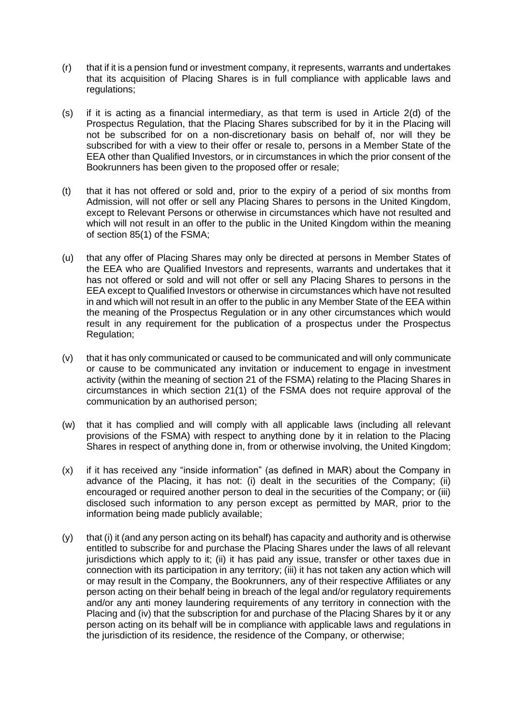- (r) that if it is a pension fund or investment company, it represents, warrants and undertakes that its acquisition of Placing Shares is in full compliance with applicable laws and regulations;
- (s) if it is acting as a financial intermediary, as that term is used in Article 2(d) of the Prospectus Regulation, that the Placing Shares subscribed for by it in the Placing will not be subscribed for on a non-discretionary basis on behalf of, nor will they be subscribed for with a view to their offer or resale to, persons in a Member State of the EEA other than Qualified Investors, or in circumstances in which the prior consent of the Bookrunners has been given to the proposed offer or resale;
- (t) that it has not offered or sold and, prior to the expiry of a period of six months from Admission, will not offer or sell any Placing Shares to persons in the United Kingdom, except to Relevant Persons or otherwise in circumstances which have not resulted and which will not result in an offer to the public in the United Kingdom within the meaning of section 85(1) of the FSMA;
- (u) that any offer of Placing Shares may only be directed at persons in Member States of the EEA who are Qualified Investors and represents, warrants and undertakes that it has not offered or sold and will not offer or sell any Placing Shares to persons in the EEA except to Qualified Investors or otherwise in circumstances which have not resulted in and which will not result in an offer to the public in any Member State of the EEA within the meaning of the Prospectus Regulation or in any other circumstances which would result in any requirement for the publication of a prospectus under the Prospectus Regulation;
- (v) that it has only communicated or caused to be communicated and will only communicate or cause to be communicated any invitation or inducement to engage in investment activity (within the meaning of section 21 of the FSMA) relating to the Placing Shares in circumstances in which section 21(1) of the FSMA does not require approval of the communication by an authorised person;
- (w) that it has complied and will comply with all applicable laws (including all relevant provisions of the FSMA) with respect to anything done by it in relation to the Placing Shares in respect of anything done in, from or otherwise involving, the United Kingdom;
- (x) if it has received any "inside information" (as defined in MAR) about the Company in advance of the Placing, it has not: (i) dealt in the securities of the Company; (ii) encouraged or required another person to deal in the securities of the Company; or (iii) disclosed such information to any person except as permitted by MAR, prior to the information being made publicly available;
- (y) that (i) it (and any person acting on its behalf) has capacity and authority and is otherwise entitled to subscribe for and purchase the Placing Shares under the laws of all relevant jurisdictions which apply to it; (ii) it has paid any issue, transfer or other taxes due in connection with its participation in any territory; (iii) it has not taken any action which will or may result in the Company, the Bookrunners, any of their respective Affiliates or any person acting on their behalf being in breach of the legal and/or regulatory requirements and/or any anti money laundering requirements of any territory in connection with the Placing and (iv) that the subscription for and purchase of the Placing Shares by it or any person acting on its behalf will be in compliance with applicable laws and regulations in the jurisdiction of its residence, the residence of the Company, or otherwise;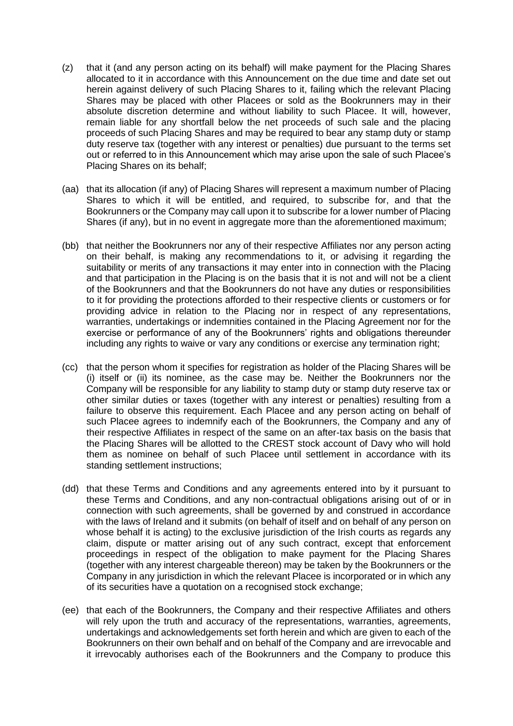- (z) that it (and any person acting on its behalf) will make payment for the Placing Shares allocated to it in accordance with this Announcement on the due time and date set out herein against delivery of such Placing Shares to it, failing which the relevant Placing Shares may be placed with other Placees or sold as the Bookrunners may in their absolute discretion determine and without liability to such Placee. It will, however, remain liable for any shortfall below the net proceeds of such sale and the placing proceeds of such Placing Shares and may be required to bear any stamp duty or stamp duty reserve tax (together with any interest or penalties) due pursuant to the terms set out or referred to in this Announcement which may arise upon the sale of such Placee's Placing Shares on its behalf;
- (aa) that its allocation (if any) of Placing Shares will represent a maximum number of Placing Shares to which it will be entitled, and required, to subscribe for, and that the Bookrunners or the Company may call upon it to subscribe for a lower number of Placing Shares (if any), but in no event in aggregate more than the aforementioned maximum;
- (bb) that neither the Bookrunners nor any of their respective Affiliates nor any person acting on their behalf, is making any recommendations to it, or advising it regarding the suitability or merits of any transactions it may enter into in connection with the Placing and that participation in the Placing is on the basis that it is not and will not be a client of the Bookrunners and that the Bookrunners do not have any duties or responsibilities to it for providing the protections afforded to their respective clients or customers or for providing advice in relation to the Placing nor in respect of any representations, warranties, undertakings or indemnities contained in the Placing Agreement nor for the exercise or performance of any of the Bookrunners' rights and obligations thereunder including any rights to waive or vary any conditions or exercise any termination right;
- (cc) that the person whom it specifies for registration as holder of the Placing Shares will be (i) itself or (ii) its nominee, as the case may be. Neither the Bookrunners nor the Company will be responsible for any liability to stamp duty or stamp duty reserve tax or other similar duties or taxes (together with any interest or penalties) resulting from a failure to observe this requirement. Each Placee and any person acting on behalf of such Placee agrees to indemnify each of the Bookrunners, the Company and any of their respective Affiliates in respect of the same on an after-tax basis on the basis that the Placing Shares will be allotted to the CREST stock account of Davy who will hold them as nominee on behalf of such Placee until settlement in accordance with its standing settlement instructions;
- (dd) that these Terms and Conditions and any agreements entered into by it pursuant to these Terms and Conditions, and any non-contractual obligations arising out of or in connection with such agreements, shall be governed by and construed in accordance with the laws of Ireland and it submits (on behalf of itself and on behalf of any person on whose behalf it is acting) to the exclusive jurisdiction of the Irish courts as regards any claim, dispute or matter arising out of any such contract, except that enforcement proceedings in respect of the obligation to make payment for the Placing Shares (together with any interest chargeable thereon) may be taken by the Bookrunners or the Company in any jurisdiction in which the relevant Placee is incorporated or in which any of its securities have a quotation on a recognised stock exchange;
- (ee) that each of the Bookrunners, the Company and their respective Affiliates and others will rely upon the truth and accuracy of the representations, warranties, agreements, undertakings and acknowledgements set forth herein and which are given to each of the Bookrunners on their own behalf and on behalf of the Company and are irrevocable and it irrevocably authorises each of the Bookrunners and the Company to produce this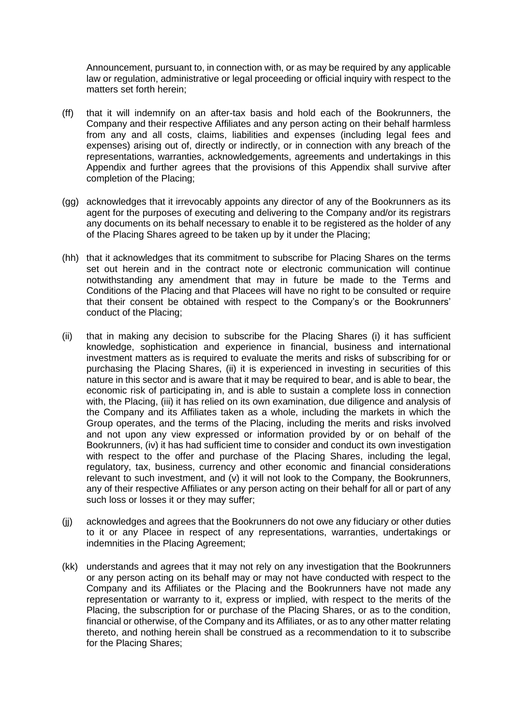Announcement, pursuant to, in connection with, or as may be required by any applicable law or regulation, administrative or legal proceeding or official inquiry with respect to the matters set forth herein;

- (ff) that it will indemnify on an after-tax basis and hold each of the Bookrunners, the Company and their respective Affiliates and any person acting on their behalf harmless from any and all costs, claims, liabilities and expenses (including legal fees and expenses) arising out of, directly or indirectly, or in connection with any breach of the representations, warranties, acknowledgements, agreements and undertakings in this Appendix and further agrees that the provisions of this Appendix shall survive after completion of the Placing;
- (gg) acknowledges that it irrevocably appoints any director of any of the Bookrunners as its agent for the purposes of executing and delivering to the Company and/or its registrars any documents on its behalf necessary to enable it to be registered as the holder of any of the Placing Shares agreed to be taken up by it under the Placing;
- (hh) that it acknowledges that its commitment to subscribe for Placing Shares on the terms set out herein and in the contract note or electronic communication will continue notwithstanding any amendment that may in future be made to the Terms and Conditions of the Placing and that Placees will have no right to be consulted or require that their consent be obtained with respect to the Company's or the Bookrunners' conduct of the Placing;
- (ii) that in making any decision to subscribe for the Placing Shares (i) it has sufficient knowledge, sophistication and experience in financial, business and international investment matters as is required to evaluate the merits and risks of subscribing for or purchasing the Placing Shares, (ii) it is experienced in investing in securities of this nature in this sector and is aware that it may be required to bear, and is able to bear, the economic risk of participating in, and is able to sustain a complete loss in connection with, the Placing, (iii) it has relied on its own examination, due diligence and analysis of the Company and its Affiliates taken as a whole, including the markets in which the Group operates, and the terms of the Placing, including the merits and risks involved and not upon any view expressed or information provided by or on behalf of the Bookrunners, (iv) it has had sufficient time to consider and conduct its own investigation with respect to the offer and purchase of the Placing Shares, including the legal, regulatory, tax, business, currency and other economic and financial considerations relevant to such investment, and (v) it will not look to the Company, the Bookrunners, any of their respective Affiliates or any person acting on their behalf for all or part of any such loss or losses it or they may suffer;
- (jj) acknowledges and agrees that the Bookrunners do not owe any fiduciary or other duties to it or any Placee in respect of any representations, warranties, undertakings or indemnities in the Placing Agreement;
- (kk) understands and agrees that it may not rely on any investigation that the Bookrunners or any person acting on its behalf may or may not have conducted with respect to the Company and its Affiliates or the Placing and the Bookrunners have not made any representation or warranty to it, express or implied, with respect to the merits of the Placing, the subscription for or purchase of the Placing Shares, or as to the condition, financial or otherwise, of the Company and its Affiliates, or as to any other matter relating thereto, and nothing herein shall be construed as a recommendation to it to subscribe for the Placing Shares;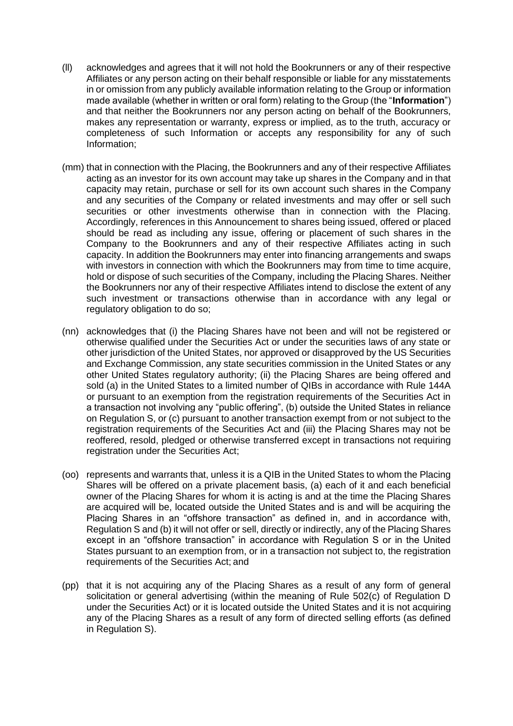- (ll) acknowledges and agrees that it will not hold the Bookrunners or any of their respective Affiliates or any person acting on their behalf responsible or liable for any misstatements in or omission from any publicly available information relating to the Group or information made available (whether in written or oral form) relating to the Group (the "**Information**") and that neither the Bookrunners nor any person acting on behalf of the Bookrunners, makes any representation or warranty, express or implied, as to the truth, accuracy or completeness of such Information or accepts any responsibility for any of such Information;
- (mm) that in connection with the Placing, the Bookrunners and any of their respective Affiliates acting as an investor for its own account may take up shares in the Company and in that capacity may retain, purchase or sell for its own account such shares in the Company and any securities of the Company or related investments and may offer or sell such securities or other investments otherwise than in connection with the Placing. Accordingly, references in this Announcement to shares being issued, offered or placed should be read as including any issue, offering or placement of such shares in the Company to the Bookrunners and any of their respective Affiliates acting in such capacity. In addition the Bookrunners may enter into financing arrangements and swaps with investors in connection with which the Bookrunners may from time to time acquire, hold or dispose of such securities of the Company, including the Placing Shares. Neither the Bookrunners nor any of their respective Affiliates intend to disclose the extent of any such investment or transactions otherwise than in accordance with any legal or regulatory obligation to do so;
- (nn) acknowledges that (i) the Placing Shares have not been and will not be registered or otherwise qualified under the Securities Act or under the securities laws of any state or other jurisdiction of the United States, nor approved or disapproved by the US Securities and Exchange Commission, any state securities commission in the United States or any other United States regulatory authority; (ii) the Placing Shares are being offered and sold (a) in the United States to a limited number of QIBs in accordance with Rule 144A or pursuant to an exemption from the registration requirements of the Securities Act in a transaction not involving any "public offering", (b) outside the United States in reliance on Regulation S, or (c) pursuant to another transaction exempt from or not subject to the registration requirements of the Securities Act and (iii) the Placing Shares may not be reoffered, resold, pledged or otherwise transferred except in transactions not requiring registration under the Securities Act;
- (oo) represents and warrants that, unless it is a QIB in the United States to whom the Placing Shares will be offered on a private placement basis, (a) each of it and each beneficial owner of the Placing Shares for whom it is acting is and at the time the Placing Shares are acquired will be, located outside the United States and is and will be acquiring the Placing Shares in an "offshore transaction" as defined in, and in accordance with, Regulation S and (b) it will not offer or sell, directly or indirectly, any of the Placing Shares except in an "offshore transaction" in accordance with Regulation S or in the United States pursuant to an exemption from, or in a transaction not subject to, the registration requirements of the Securities Act; and
- (pp) that it is not acquiring any of the Placing Shares as a result of any form of general solicitation or general advertising (within the meaning of Rule 502(c) of Regulation D under the Securities Act) or it is located outside the United States and it is not acquiring any of the Placing Shares as a result of any form of directed selling efforts (as defined in Regulation S).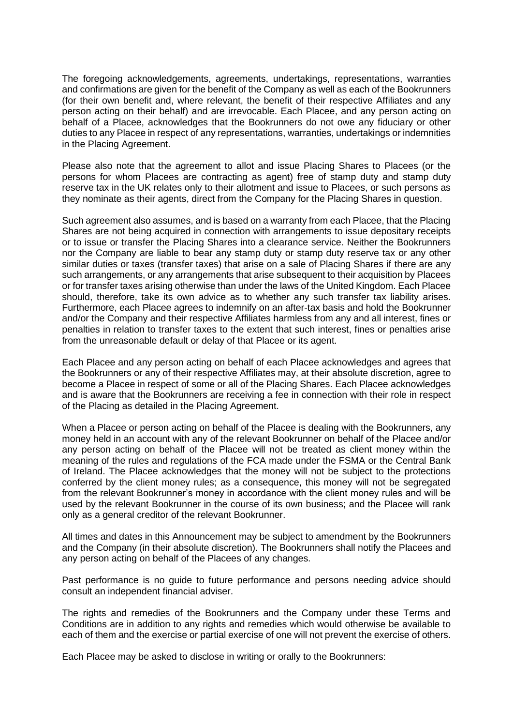The foregoing acknowledgements, agreements, undertakings, representations, warranties and confirmations are given for the benefit of the Company as well as each of the Bookrunners (for their own benefit and, where relevant, the benefit of their respective Affiliates and any person acting on their behalf) and are irrevocable. Each Placee, and any person acting on behalf of a Placee, acknowledges that the Bookrunners do not owe any fiduciary or other duties to any Placee in respect of any representations, warranties, undertakings or indemnities in the Placing Agreement.

Please also note that the agreement to allot and issue Placing Shares to Placees (or the persons for whom Placees are contracting as agent) free of stamp duty and stamp duty reserve tax in the UK relates only to their allotment and issue to Placees, or such persons as they nominate as their agents, direct from the Company for the Placing Shares in question.

Such agreement also assumes, and is based on a warranty from each Placee, that the Placing Shares are not being acquired in connection with arrangements to issue depositary receipts or to issue or transfer the Placing Shares into a clearance service. Neither the Bookrunners nor the Company are liable to bear any stamp duty or stamp duty reserve tax or any other similar duties or taxes (transfer taxes) that arise on a sale of Placing Shares if there are any such arrangements, or any arrangements that arise subsequent to their acquisition by Placees or for transfer taxes arising otherwise than under the laws of the United Kingdom. Each Placee should, therefore, take its own advice as to whether any such transfer tax liability arises. Furthermore, each Placee agrees to indemnify on an after-tax basis and hold the Bookrunner and/or the Company and their respective Affiliates harmless from any and all interest, fines or penalties in relation to transfer taxes to the extent that such interest, fines or penalties arise from the unreasonable default or delay of that Placee or its agent.

Each Placee and any person acting on behalf of each Placee acknowledges and agrees that the Bookrunners or any of their respective Affiliates may, at their absolute discretion, agree to become a Placee in respect of some or all of the Placing Shares. Each Placee acknowledges and is aware that the Bookrunners are receiving a fee in connection with their role in respect of the Placing as detailed in the Placing Agreement.

When a Placee or person acting on behalf of the Placee is dealing with the Bookrunners, any money held in an account with any of the relevant Bookrunner on behalf of the Placee and/or any person acting on behalf of the Placee will not be treated as client money within the meaning of the rules and regulations of the FCA made under the FSMA or the Central Bank of Ireland. The Placee acknowledges that the money will not be subject to the protections conferred by the client money rules; as a consequence, this money will not be segregated from the relevant Bookrunner's money in accordance with the client money rules and will be used by the relevant Bookrunner in the course of its own business; and the Placee will rank only as a general creditor of the relevant Bookrunner.

All times and dates in this Announcement may be subject to amendment by the Bookrunners and the Company (in their absolute discretion). The Bookrunners shall notify the Placees and any person acting on behalf of the Placees of any changes.

Past performance is no guide to future performance and persons needing advice should consult an independent financial adviser.

The rights and remedies of the Bookrunners and the Company under these Terms and Conditions are in addition to any rights and remedies which would otherwise be available to each of them and the exercise or partial exercise of one will not prevent the exercise of others.

Each Placee may be asked to disclose in writing or orally to the Bookrunners: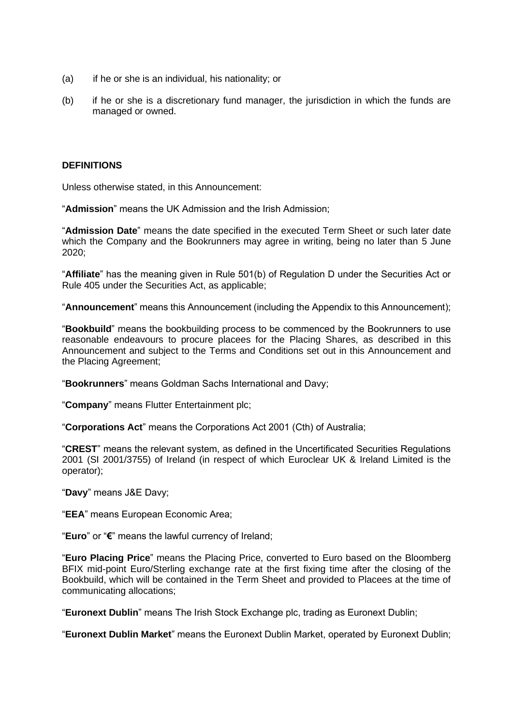- (a) if he or she is an individual, his nationality; or
- (b) if he or she is a discretionary fund manager, the jurisdiction in which the funds are managed or owned.

#### **DEFINITIONS**

Unless otherwise stated, in this Announcement:

"**Admission**" means the UK Admission and the Irish Admission;

"**Admission Date**" means the date specified in the executed Term Sheet or such later date which the Company and the Bookrunners may agree in writing, being no later than 5 June 2020;

"**Affiliate**" has the meaning given in Rule 501(b) of Regulation D under the Securities Act or Rule 405 under the Securities Act, as applicable;

"**Announcement**" means this Announcement (including the Appendix to this Announcement);

"**Bookbuild**" means the bookbuilding process to be commenced by the Bookrunners to use reasonable endeavours to procure placees for the Placing Shares, as described in this Announcement and subject to the Terms and Conditions set out in this Announcement and the Placing Agreement;

"**Bookrunners**" means Goldman Sachs International and Davy;

"**Company**" means Flutter Entertainment plc;

"**Corporations Act**" means the Corporations Act 2001 (Cth) of Australia;

"**CREST**" means the relevant system, as defined in the Uncertificated Securities Regulations 2001 (SI 2001/3755) of Ireland (in respect of which Euroclear UK & Ireland Limited is the operator);

"**Davy**" means J&E Davy;

"**EEA**" means European Economic Area;

"**Euro**" or "**€**" means the lawful currency of Ireland;

"**Euro Placing Price**" means the Placing Price, converted to Euro based on the Bloomberg BFIX mid-point Euro/Sterling exchange rate at the first fixing time after the closing of the Bookbuild, which will be contained in the Term Sheet and provided to Placees at the time of communicating allocations;

"**Euronext Dublin**" means The Irish Stock Exchange plc, trading as Euronext Dublin;

"**Euronext Dublin Market**" means the Euronext Dublin Market, operated by Euronext Dublin;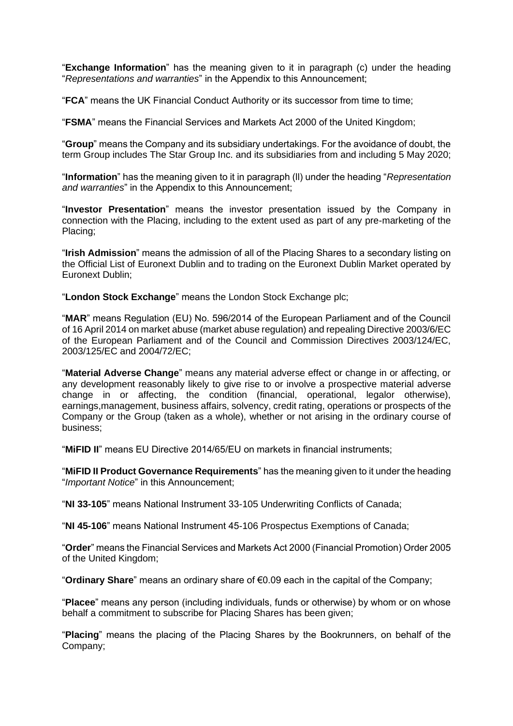"**Exchange Information**" has the meaning given to it in paragraph (c) under the heading "*Representations and warranties*" in the Appendix to this Announcement;

"**FCA**" means the UK Financial Conduct Authority or its successor from time to time;

"**FSMA**" means the Financial Services and Markets Act 2000 of the United Kingdom;

"**Group**" means the Company and its subsidiary undertakings. For the avoidance of doubt, the term Group includes The Star Group Inc. and its subsidiaries from and including 5 May 2020;

"**Information**" has the meaning given to it in paragraph (ll) under the heading "*Representation and warranties*" in the Appendix to this Announcement;

"**Investor Presentation**" means the investor presentation issued by the Company in connection with the Placing, including to the extent used as part of any pre-marketing of the Placing;

"**Irish Admission**" means the admission of all of the Placing Shares to a secondary listing on the Official List of Euronext Dublin and to trading on the Euronext Dublin Market operated by Euronext Dublin;

"**London Stock Exchange**" means the London Stock Exchange plc;

"**MAR**" means Regulation (EU) No. 596/2014 of the European Parliament and of the Council of 16 April 2014 on market abuse (market abuse regulation) and repealing Directive 2003/6/EC of the European Parliament and of the Council and Commission Directives 2003/124/EC, 2003/125/EC and 2004/72/EC;

"**Material Adverse Change**" means any material adverse effect or change in or affecting, or any development reasonably likely to give rise to or involve a prospective material adverse change in or affecting, the condition (financial, operational, legalor otherwise), earnings,management, business affairs, solvency, credit rating, operations or prospects of the Company or the Group (taken as a whole), whether or not arising in the ordinary course of business;

"**MiFID II**" means EU Directive 2014/65/EU on markets in financial instruments;

"**MiFID II Product Governance Requirements**" has the meaning given to it under the heading "*Important Notice*" in this Announcement;

"**NI 33-105**" means National Instrument 33-105 Underwriting Conflicts of Canada;

"**NI 45-106**" means National Instrument 45-106 Prospectus Exemptions of Canada;

"**Order**" means the Financial Services and Markets Act 2000 (Financial Promotion) Order 2005 of the United Kingdom;

"**Ordinary Share**" means an ordinary share of €0.09 each in the capital of the Company;

"**Placee**" means any person (including individuals, funds or otherwise) by whom or on whose behalf a commitment to subscribe for Placing Shares has been given;

"**Placing**" means the placing of the Placing Shares by the Bookrunners, on behalf of the Company;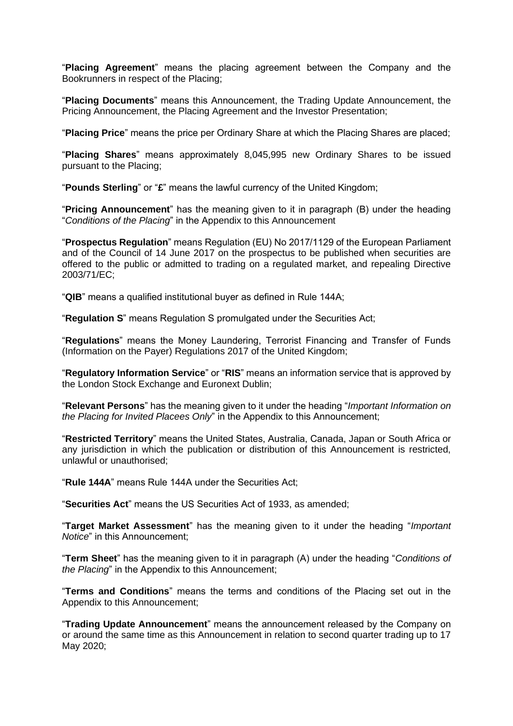"**Placing Agreement**" means the placing agreement between the Company and the Bookrunners in respect of the Placing;

"**Placing Documents**" means this Announcement, the Trading Update Announcement, the Pricing Announcement, the Placing Agreement and the Investor Presentation;

"**Placing Price**" means the price per Ordinary Share at which the Placing Shares are placed;

"**Placing Shares**" means approximately 8,045,995 new Ordinary Shares to be issued pursuant to the Placing;

"**Pounds Sterling**" or "**£**" means the lawful currency of the United Kingdom;

"**Pricing Announcement**" has the meaning given to it in paragraph (B) under the heading "*Conditions of the Placing*" in the Appendix to this Announcement

"**Prospectus Regulation**" means Regulation (EU) No 2017/1129 of the European Parliament and of the Council of 14 June 2017 on the prospectus to be published when securities are offered to the public or admitted to trading on a regulated market, and repealing Directive 2003/71/EC;

"**QIB**" means a qualified institutional buyer as defined in Rule 144A;

"**Regulation S**" means Regulation S promulgated under the Securities Act;

"**Regulations**" means the Money Laundering, Terrorist Financing and Transfer of Funds (Information on the Payer) Regulations 2017 of the United Kingdom;

"**Regulatory Information Service**" or "**RIS**" means an information service that is approved by the London Stock Exchange and Euronext Dublin;

"**Relevant Persons**" has the meaning given to it under the heading "*Important Information on the Placing for Invited Placees Only*" in the Appendix to this Announcement;

"**Restricted Territory**" means the United States, Australia, Canada, Japan or South Africa or any jurisdiction in which the publication or distribution of this Announcement is restricted, unlawful or unauthorised;

"**Rule 144A**" means Rule 144A under the Securities Act;

"**Securities Act**" means the US Securities Act of 1933, as amended;

"**Target Market Assessment**" has the meaning given to it under the heading "*Important Notice*" in this Announcement;

"**Term Sheet**" has the meaning given to it in paragraph (A) under the heading "*Conditions of the Placing*" in the Appendix to this Announcement;

"**Terms and Conditions**" means the terms and conditions of the Placing set out in the Appendix to this Announcement;

"**Trading Update Announcement**" means the announcement released by the Company on or around the same time as this Announcement in relation to second quarter trading up to 17 May 2020;